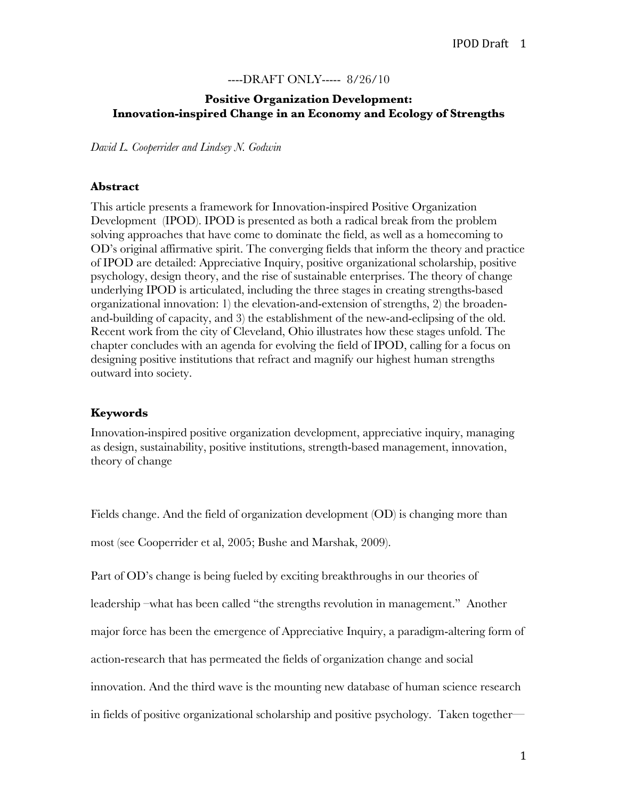#### ----DRAFT ONLY----- 8/26/10

# **Positive Organization Development: Innovation-inspired Change in an Economy and Ecology of Strengths**

*David L. Cooperrider and Lindsey N. Godwin* 

#### **Abstract**

This article presents a framework for Innovation-inspired Positive Organization Development (IPOD). IPOD is presented as both a radical break from the problem solving approaches that have come to dominate the field, as well as a homecoming to OD's original affirmative spirit. The converging fields that inform the theory and practice of IPOD are detailed: Appreciative Inquiry, positive organizational scholarship, positive psychology, design theory, and the rise of sustainable enterprises. The theory of change underlying IPOD is articulated, including the three stages in creating strengths-based organizational innovation: 1) the elevation-and-extension of strengths, 2) the broadenand-building of capacity, and 3) the establishment of the new-and-eclipsing of the old. Recent work from the city of Cleveland, Ohio illustrates how these stages unfold. The chapter concludes with an agenda for evolving the field of IPOD, calling for a focus on designing positive institutions that refract and magnify our highest human strengths outward into society.

#### **Keywords**

Innovation-inspired positive organization development, appreciative inquiry, managing as design, sustainability, positive institutions, strength-based management, innovation, theory of change

Fields change. And the field of organization development (OD) is changing more than

most (see Cooperrider et al, 2005; Bushe and Marshak, 2009).

Part of OD's change is being fueled by exciting breakthroughs in our theories of

leadership –what has been called "the strengths revolution in management." Another

major force has been the emergence of Appreciative Inquiry, a paradigm-altering form of

action-research that has permeated the fields of organization change and social

innovation. And the third wave is the mounting new database of human science research

in fields of positive organizational scholarship and positive psychology. Taken together—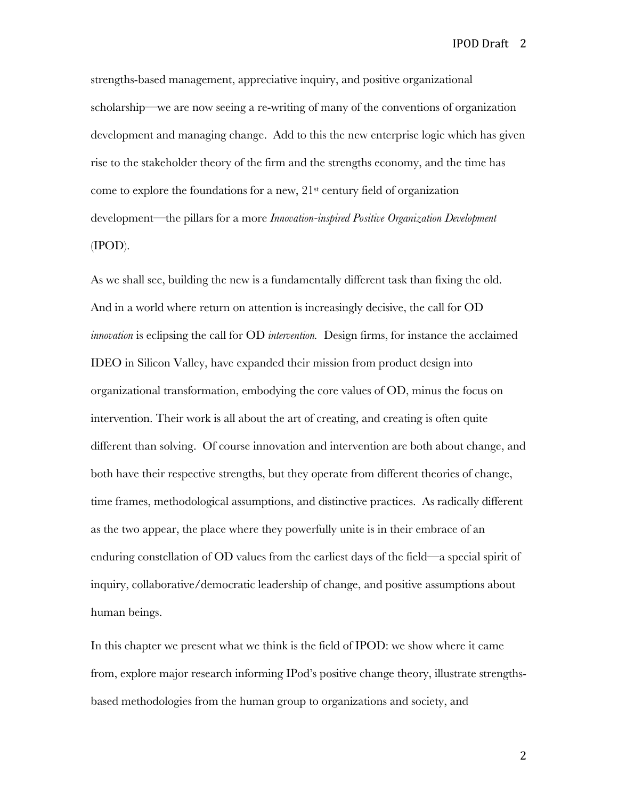strengths-based management, appreciative inquiry, and positive organizational scholarship—we are now seeing a re-writing of many of the conventions of organization development and managing change. Add to this the new enterprise logic which has given rise to the stakeholder theory of the firm and the strengths economy, and the time has come to explore the foundations for a new, 21st century field of organization development—the pillars for a more *Innovation-inspired Positive Organization Development*  (IPOD).

As we shall see, building the new is a fundamentally different task than fixing the old. And in a world where return on attention is increasingly decisive, the call for OD *innovation* is eclipsing the call for OD *intervention.* Design firms, for instance the acclaimed IDEO in Silicon Valley, have expanded their mission from product design into organizational transformation, embodying the core values of OD, minus the focus on intervention. Their work is all about the art of creating, and creating is often quite different than solving.Of course innovation and intervention are both about change, and both have their respective strengths, but they operate from different theories of change, time frames, methodological assumptions, and distinctive practices. As radically different as the two appear, the place where they powerfully unite is in their embrace of an enduring constellation of OD values from the earliest days of the field—a special spirit of inquiry, collaborative/democratic leadership of change, and positive assumptions about human beings.

In this chapter we present what we think is the field of IPOD: we show where it came from, explore major research informing IPod's positive change theory, illustrate strengthsbased methodologies from the human group to organizations and society, and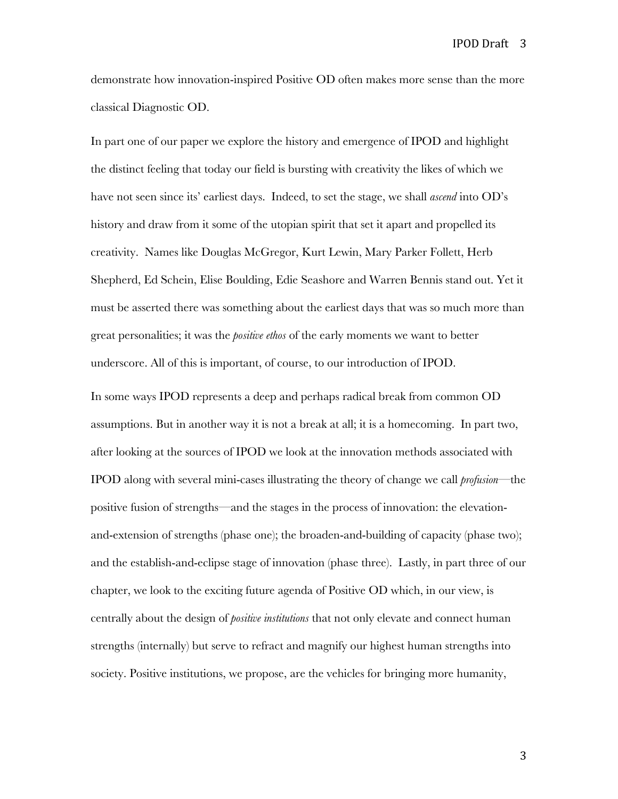demonstrate how innovation-inspired Positive OD often makes more sense than the more classical Diagnostic OD.

In part one of our paper we explore the history and emergence of IPOD and highlight the distinct feeling that today our field is bursting with creativity the likes of which we have not seen since its' earliest days. Indeed, to set the stage, we shall *ascend* into OD's history and draw from it some of the utopian spirit that set it apart and propelled its creativity. Names like Douglas McGregor, Kurt Lewin, Mary Parker Follett, Herb Shepherd, Ed Schein, Elise Boulding, Edie Seashore and Warren Bennis stand out. Yet it must be asserted there was something about the earliest days that was so much more than great personalities; it was the *positive ethos* of the early moments we want to better underscore. All of this is important, of course, to our introduction of IPOD.

In some ways IPOD represents a deep and perhaps radical break from common OD assumptions. But in another way it is not a break at all; it is a homecoming. In part two, after looking at the sources of IPOD we look at the innovation methods associated with IPOD along with several mini-cases illustrating the theory of change we call *profusion*—the positive fusion of strengths—and the stages in the process of innovation: the elevationand-extension of strengths (phase one); the broaden-and-building of capacity (phase two); and the establish-and-eclipse stage of innovation (phase three). Lastly, in part three of our chapter, we look to the exciting future agenda of Positive OD which, in our view, is centrally about the design of *positive institutions* that not only elevate and connect human strengths (internally) but serve to refract and magnify our highest human strengths into society. Positive institutions, we propose, are the vehicles for bringing more humanity,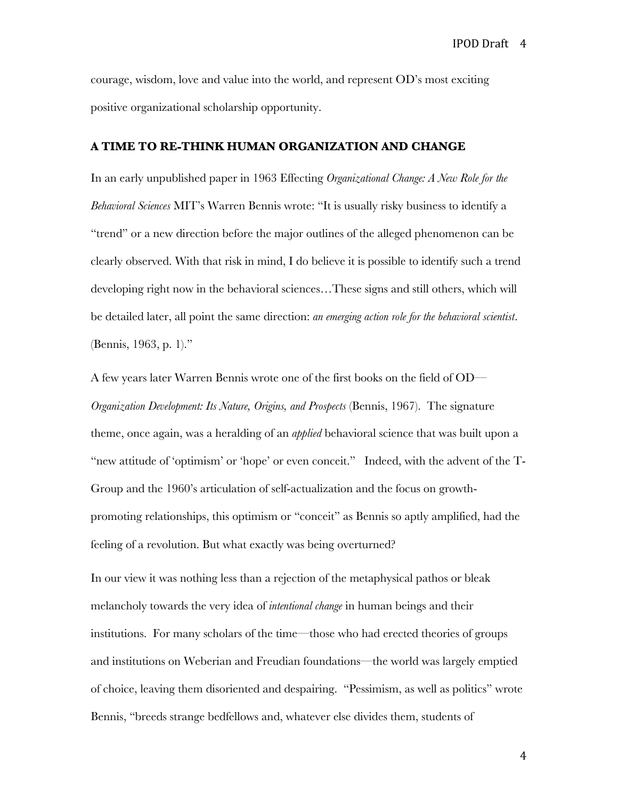courage, wisdom, love and value into the world, and represent OD's most exciting positive organizational scholarship opportunity.

#### **A TIME TO RE-THINK HUMAN ORGANIZATION AND CHANGE**

In an early unpublished paper in 1963 Effecting *Organizational Change: A New Role for the Behavioral Sciences* MIT's Warren Bennis wrote: "It is usually risky business to identify a "trend" or a new direction before the major outlines of the alleged phenomenon can be clearly observed. With that risk in mind, I do believe it is possible to identify such a trend developing right now in the behavioral sciences…These signs and still others, which will be detailed later, all point the same direction: *an emerging action role for the behavioral scientist*. (Bennis, 1963, p. 1)."

A few years later Warren Bennis wrote one of the first books on the field of OD— *Organization Development: Its Nature, Origins, and Prospects* (Bennis, 1967). The signature theme, once again, was a heralding of an *applied* behavioral science that was built upon a "new attitude of 'optimism' or 'hope' or even conceit." Indeed, with the advent of the T-Group and the 1960's articulation of self-actualization and the focus on growthpromoting relationships, this optimism or "conceit" as Bennis so aptly amplified, had the feeling of a revolution. But what exactly was being overturned?

In our view it was nothing less than a rejection of the metaphysical pathos or bleak melancholy towards the very idea of *intentional change* in human beings and their institutions. For many scholars of the time—those who had erected theories of groups and institutions on Weberian and Freudian foundations—the world was largely emptied of choice, leaving them disoriented and despairing. "Pessimism, as well as politics" wrote Bennis, "breeds strange bedfellows and, whatever else divides them, students of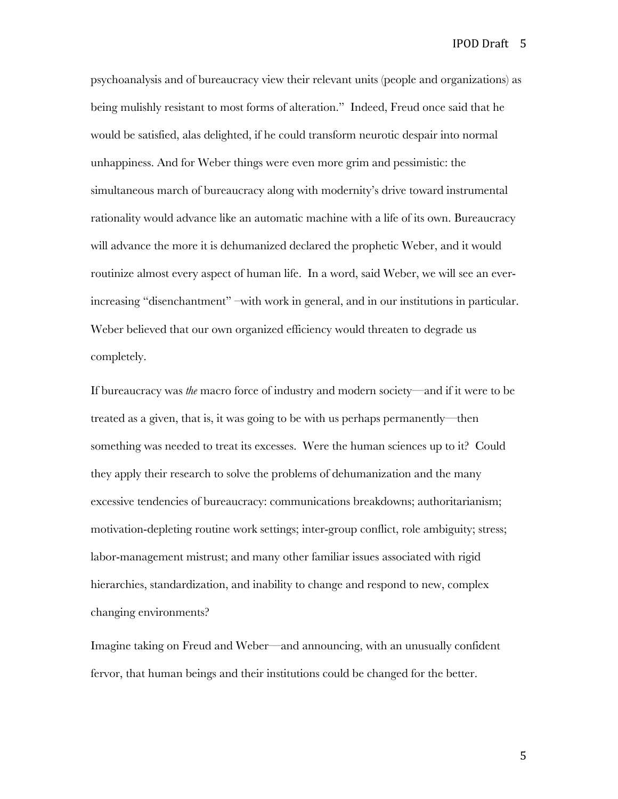psychoanalysis and of bureaucracy view their relevant units (people and organizations) as being mulishly resistant to most forms of alteration." Indeed, Freud once said that he would be satisfied, alas delighted, if he could transform neurotic despair into normal unhappiness. And for Weber things were even more grim and pessimistic: the simultaneous march of bureaucracy along with modernity's drive toward instrumental rationality would advance like an automatic machine with a life of its own. Bureaucracy will advance the more it is dehumanized declared the prophetic Weber, and it would routinize almost every aspect of human life. In a word, said Weber, we will see an everincreasing "disenchantment" –with work in general, and in our institutions in particular. Weber believed that our own organized efficiency would threaten to degrade us completely.

If bureaucracy was *the* macro force of industry and modern society—and if it were to be treated as a given, that is, it was going to be with us perhaps permanently—then something was needed to treat its excesses. Were the human sciences up to it? Could they apply their research to solve the problems of dehumanization and the many excessive tendencies of bureaucracy: communications breakdowns; authoritarianism; motivation-depleting routine work settings; inter-group conflict, role ambiguity; stress; labor-management mistrust; and many other familiar issues associated with rigid hierarchies, standardization, and inability to change and respond to new, complex changing environments?

Imagine taking on Freud and Weber—and announcing, with an unusually confident fervor, that human beings and their institutions could be changed for the better.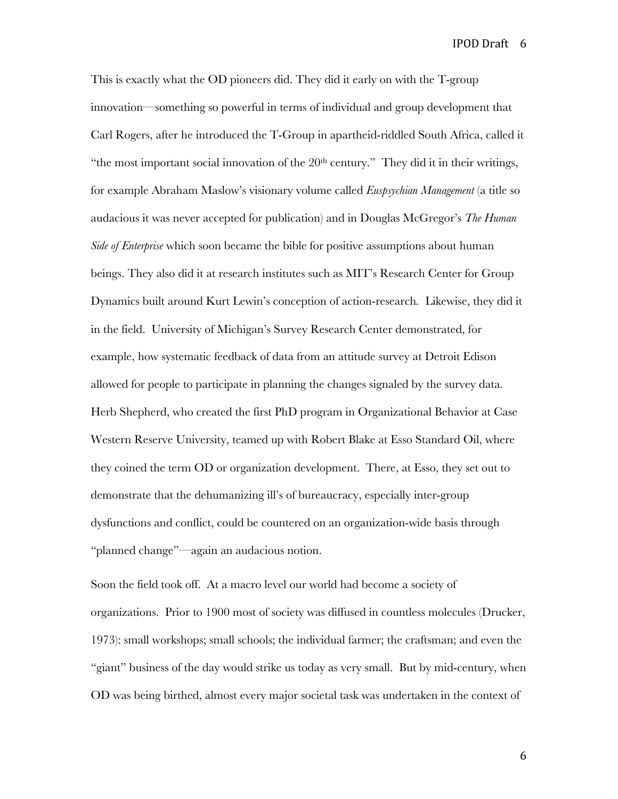This is exactly what the OD pioneers did. They did it early on with the T-group innovation—something so powerful in terms of individual and group development that Carl Rogers, after he introduced the T-Group in apartheid-riddled South Africa, called it "the most important social innovation of the  $20<sup>th</sup>$  century." They did it in their writings, for example Abraham Maslow's visionary volume called *Euspsychian Management* (a title so audacious it was never accepted for publication) and in Douglas McGregor's *The Human Side of Enterprise* which soon became the bible for positive assumptions about human beings. They also did it at research institutes such as MIT's Research Center for Group Dynamics built around Kurt Lewin's conception of action-research*.* Likewise, they did it in the field. University of Michigan's Survey Research Center demonstrated, for example, how systematic feedback of data from an attitude survey at Detroit Edison allowed for people to participate in planning the changes signaled by the survey data. Herb Shepherd, who created the first PhD program in Organizational Behavior at Case Western Reserve University, teamed up with Robert Blake at Esso Standard Oil, where they coined the term OD or organization development. There, at Esso, they set out to demonstrate that the dehumanizing ill's of bureaucracy, especially inter-group dysfunctions and conflict, could be countered on an organization-wide basis through "planned change"—again an audacious notion.

Soon the field took off. At a macro level our world had become a society of organizations. Prior to 1900 most of society was diffused in countless molecules (Drucker, 1973): small workshops; small schools; the individual farmer; the craftsman; and even the "giant" business of the day would strike us today as very small. But by mid-century, when OD was being birthed, almost every major societal task was undertaken in the context of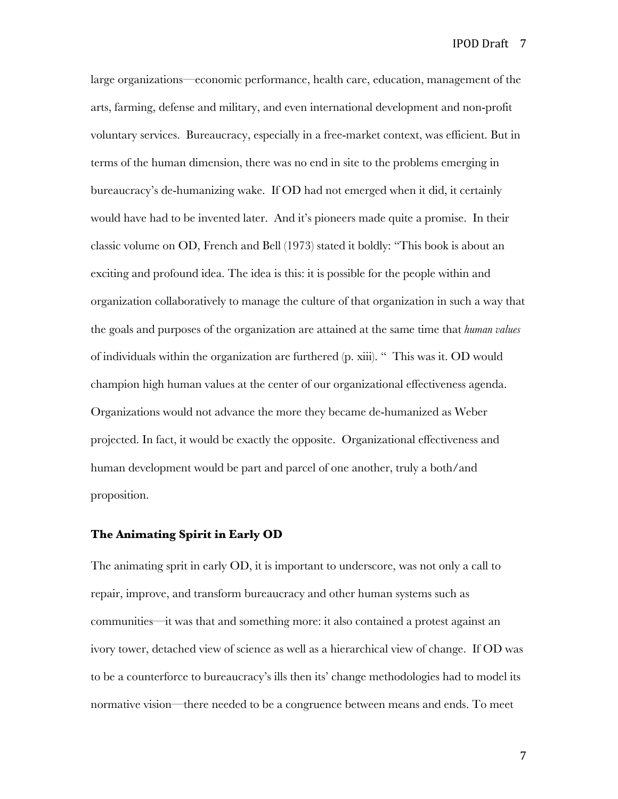large organizations—economic performance, health care, education, management of the arts, farming, defense and military, and even international development and non-profit voluntary services. Bureaucracy, especially in a free-market context, was efficient. But in terms of the human dimension, there was no end in site to the problems emerging in bureaucracy's de-humanizing wake. If OD had not emerged when it did, it certainly would have had to be invented later. And it's pioneers made quite a promise. In their classic volume on OD, French and Bell (1973) stated it boldly: "This book is about an exciting and profound idea. The idea is this: it is possible for the people within and organization collaboratively to manage the culture of that organization in such a way that the goals and purposes of the organization are attained at the same time that *human values* of individuals within the organization are furthered (p. xiii). " This was it. OD would champion high human values at the center of our organizational effectiveness agenda. Organizations would not advance the more they became de-humanized as Weber projected. In fact, it would be exactly the opposite. Organizational effectiveness and human development would be part and parcel of one another, truly a both/and proposition.

#### **The Animating Spirit in Early OD**

The animating sprit in early OD, it is important to underscore, was not only a call to repair, improve, and transform bureaucracy and other human systems such as communities—it was that and something more: it also contained a protest against an ivory tower, detached view of science as well as a hierarchical view of change. If OD was to be a counterforce to bureaucracy's ills then its' change methodologies had to model its normative vision—there needed to be a congruence between means and ends. To meet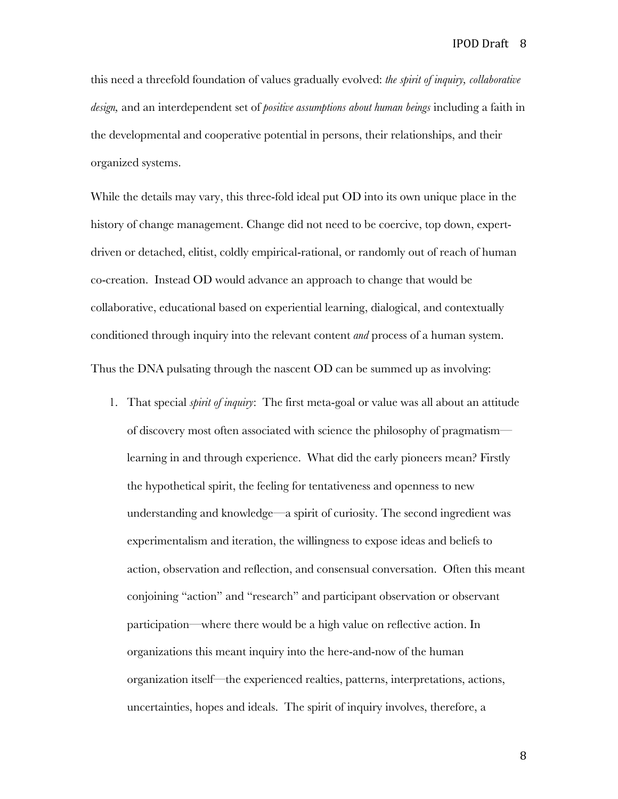this need a threefold foundation of values gradually evolved: *the spirit of inquiry, collaborative design,* and an interdependent set of *positive assumptions about human beings* including a faith in the developmental and cooperative potential in persons, their relationships, and their organized systems.

While the details may vary, this three-fold ideal put OD into its own unique place in the history of change management. Change did not need to be coercive, top down, expertdriven or detached, elitist, coldly empirical-rational, or randomly out of reach of human co-creation. Instead OD would advance an approach to change that would be collaborative, educational based on experiential learning, dialogical, and contextually conditioned through inquiry into the relevant content *and* process of a human system. Thus the DNA pulsating through the nascent OD can be summed up as involving:

1. That special *spirit of inquiry*: The first meta-goal or value was all about an attitude of discovery most often associated with science the philosophy of pragmatism learning in and through experience. What did the early pioneers mean? Firstly the hypothetical spirit, the feeling for tentativeness and openness to new understanding and knowledge—a spirit of curiosity. The second ingredient was experimentalism and iteration, the willingness to expose ideas and beliefs to action, observation and reflection, and consensual conversation. Often this meant conjoining "action" and "research" and participant observation or observant participation—where there would be a high value on reflective action. In organizations this meant inquiry into the here-and-now of the human organization itself—the experienced realties, patterns, interpretations, actions, uncertainties, hopes and ideals. The spirit of inquiry involves, therefore, a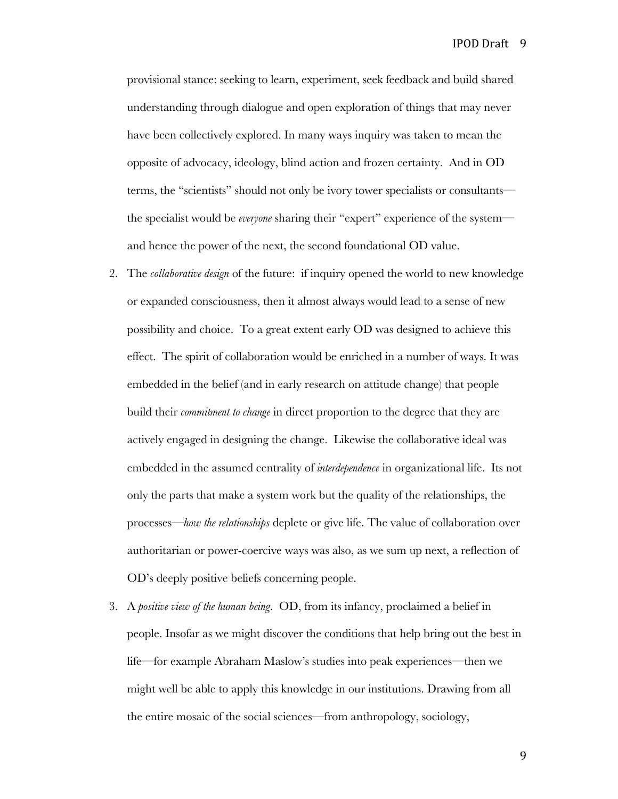provisional stance: seeking to learn, experiment, seek feedback and build shared understanding through dialogue and open exploration of things that may never have been collectively explored. In many ways inquiry was taken to mean the opposite of advocacy, ideology, blind action and frozen certainty. And in OD terms, the "scientists" should not only be ivory tower specialists or consultants the specialist would be *everyone* sharing their "expert" experience of the system and hence the power of the next, the second foundational OD value.

- 2. The *collaborative design* of the future: if inquiry opened the world to new knowledge or expanded consciousness, then it almost always would lead to a sense of new possibility and choice. To a great extent early OD was designed to achieve this effect. The spirit of collaboration would be enriched in a number of ways. It was embedded in the belief (and in early research on attitude change) that people build their *commitment to change* in direct proportion to the degree that they are actively engaged in designing the change. Likewise the collaborative ideal was embedded in the assumed centrality of *interdependence* in organizational life. Its not only the parts that make a system work but the quality of the relationships, the processes—*how the relationships* deplete or give life. The value of collaboration over authoritarian or power-coercive ways was also, as we sum up next, a reflection of OD's deeply positive beliefs concerning people.
- 3. A *positive view of the human being*. OD, from its infancy, proclaimed a belief in people. Insofar as we might discover the conditions that help bring out the best in life—for example Abraham Maslow's studies into peak experiences—then we might well be able to apply this knowledge in our institutions. Drawing from all the entire mosaic of the social sciences—from anthropology, sociology,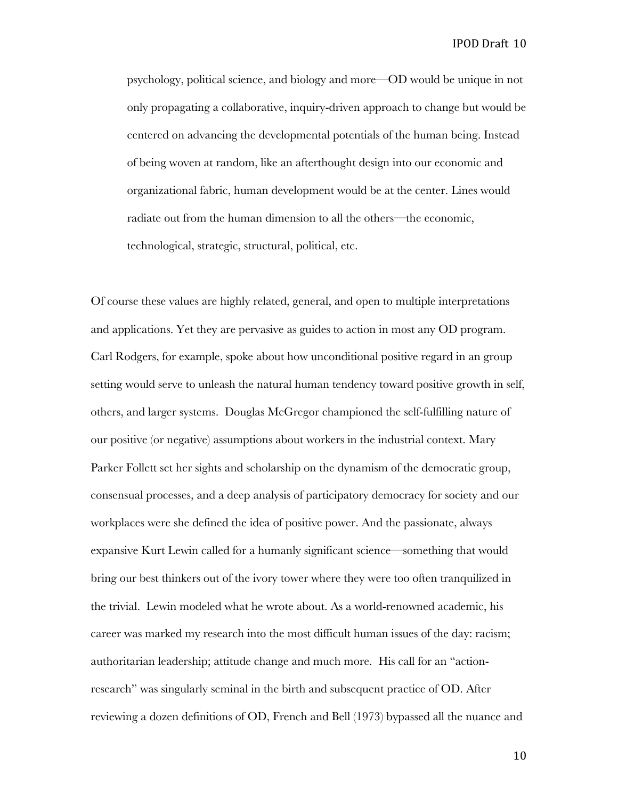psychology, political science, and biology and more—OD would be unique in not only propagating a collaborative, inquiry-driven approach to change but would be centered on advancing the developmental potentials of the human being. Instead of being woven at random, like an afterthought design into our economic and organizational fabric, human development would be at the center. Lines would radiate out from the human dimension to all the others—the economic, technological, strategic, structural, political, etc.

Of course these values are highly related, general, and open to multiple interpretations and applications. Yet they are pervasive as guides to action in most any OD program. Carl Rodgers, for example, spoke about how unconditional positive regard in an group setting would serve to unleash the natural human tendency toward positive growth in self, others, and larger systems. Douglas McGregor championed the self-fulfilling nature of our positive (or negative) assumptions about workers in the industrial context. Mary Parker Follett set her sights and scholarship on the dynamism of the democratic group, consensual processes, and a deep analysis of participatory democracy for society and our workplaces were she defined the idea of positive power. And the passionate, always expansive Kurt Lewin called for a humanly significant science—something that would bring our best thinkers out of the ivory tower where they were too often tranquilized in the trivial. Lewin modeled what he wrote about. As a world-renowned academic, his career was marked my research into the most difficult human issues of the day: racism; authoritarian leadership; attitude change and much more. His call for an "actionresearch" was singularly seminal in the birth and subsequent practice of OD. After reviewing a dozen definitions of OD, French and Bell (1973) bypassed all the nuance and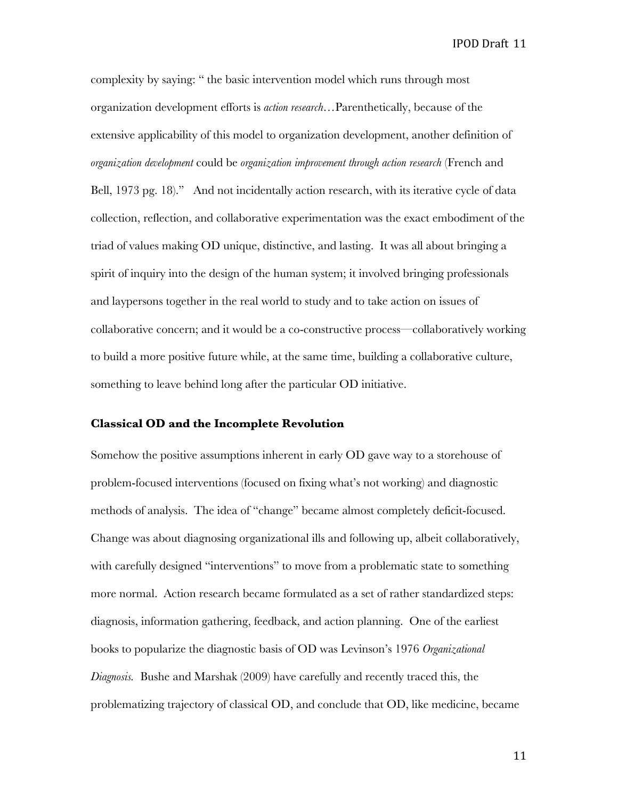complexity by saying: " the basic intervention model which runs through most organization development efforts is *action research…*Parenthetically, because of the extensive applicability of this model to organization development, another definition of *organization development* could be *organization improvement through action research* (French and Bell, 1973 pg. 18)." And not incidentally action research, with its iterative cycle of data collection, reflection, and collaborative experimentation was the exact embodiment of the triad of values making OD unique, distinctive, and lasting. It was all about bringing a spirit of inquiry into the design of the human system; it involved bringing professionals and laypersons together in the real world to study and to take action on issues of collaborative concern; and it would be a co-constructive process—collaboratively working to build a more positive future while, at the same time, building a collaborative culture, something to leave behind long after the particular OD initiative.

#### **Classical OD and the Incomplete Revolution**

Somehow the positive assumptions inherent in early OD gave way to a storehouse of problem-focused interventions (focused on fixing what's not working) and diagnostic methods of analysis. The idea of "change" became almost completely deficit-focused. Change was about diagnosing organizational ills and following up, albeit collaboratively, with carefully designed "interventions" to move from a problematic state to something more normal. Action research became formulated as a set of rather standardized steps: diagnosis, information gathering, feedback, and action planning. One of the earliest books to popularize the diagnostic basis of OD was Levinson's 1976 *Organizational Diagnosis.* Bushe and Marshak (2009) have carefully and recently traced this, the problematizing trajectory of classical OD, and conclude that OD, like medicine, became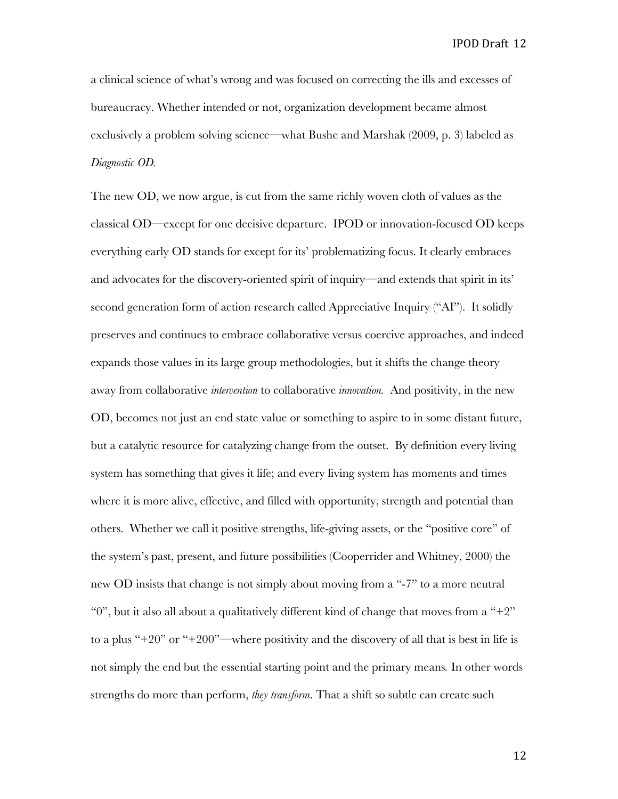a clinical science of what's wrong and was focused on correcting the ills and excesses of bureaucracy. Whether intended or not, organization development became almost exclusively a problem solving science—what Bushe and Marshak (2009, p. 3) labeled as *Diagnostic OD.* 

The new OD, we now argue, is cut from the same richly woven cloth of values as the classical OD—except for one decisive departure. IPOD or innovation-focused OD keeps everything early OD stands for except for its' problematizing focus. It clearly embraces and advocates for the discovery-oriented spirit of inquiry—and extends that spirit in its' second generation form of action research called Appreciative Inquiry ("AI"). It solidly preserves and continues to embrace collaborative versus coercive approaches, and indeed expands those values in its large group methodologies, but it shifts the change theory away from collaborative *intervention* to collaborative *innovation.* And positivity, in the new OD, becomes not just an end state value or something to aspire to in some distant future, but a catalytic resource for catalyzing change from the outset. By definition every living system has something that gives it life; and every living system has moments and times where it is more alive, effective, and filled with opportunity, strength and potential than others. Whether we call it positive strengths, life-giving assets, or the "positive core" of the system's past, present, and future possibilities (Cooperrider and Whitney, 2000) the new OD insists that change is not simply about moving from a "-7" to a more neutral "0", but it also all about a qualitatively different kind of change that moves from a "+2" to a plus "+20" or "+200"—where positivity and the discovery of all that is best in life is not simply the end but the essential starting point and the primary means*.* In other words strengths do more than perform, *they transform*. That a shift so subtle can create such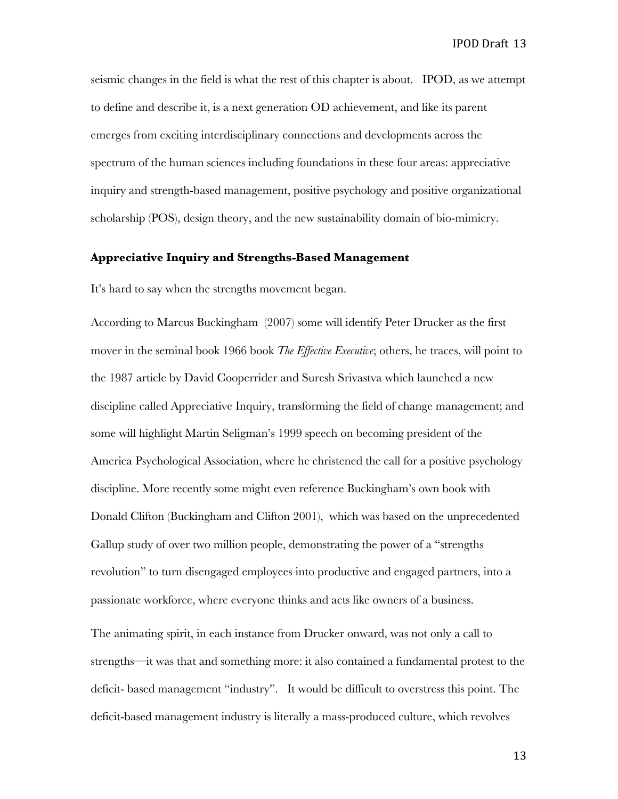seismic changes in the field is what the rest of this chapter is about. IPOD, as we attempt to define and describe it, is a next generation OD achievement, and like its parent emerges from exciting interdisciplinary connections and developments across the spectrum of the human sciences including foundations in these four areas: appreciative inquiry and strength-based management, positive psychology and positive organizational scholarship (POS), design theory, and the new sustainability domain of bio-mimicry.

#### **Appreciative Inquiry and Strengths-Based Management**

It's hard to say when the strengths movement began.

According to Marcus Buckingham (2007) some will identify Peter Drucker as the first mover in the seminal book 1966 book *The Effective Executive*; others, he traces, will point to the 1987 article by David Cooperrider and Suresh Srivastva which launched a new discipline called Appreciative Inquiry, transforming the field of change management; and some will highlight Martin Seligman's 1999 speech on becoming president of the America Psychological Association, where he christened the call for a positive psychology discipline. More recently some might even reference Buckingham's own book with Donald Clifton (Buckingham and Clifton 2001), which was based on the unprecedented Gallup study of over two million people, demonstrating the power of a "strengths revolution" to turn disengaged employees into productive and engaged partners, into a passionate workforce, where everyone thinks and acts like owners of a business.

The animating spirit, in each instance from Drucker onward, was not only a call to strengths—it was that and something more: it also contained a fundamental protest to the deficit- based management "industry". It would be difficult to overstress this point. The deficit-based management industry is literally a mass-produced culture, which revolves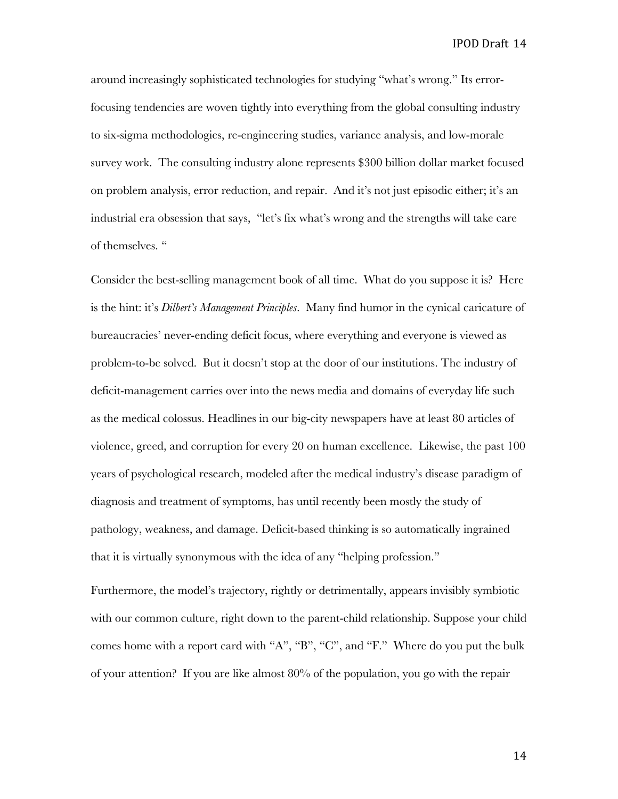around increasingly sophisticated technologies for studying "what's wrong." Its errorfocusing tendencies are woven tightly into everything from the global consulting industry to six-sigma methodologies, re-engineering studies, variance analysis, and low-morale survey work. The consulting industry alone represents \$300 billion dollar market focused on problem analysis, error reduction, and repair. And it's not just episodic either; it's an industrial era obsession that says, "let's fix what's wrong and the strengths will take care of themselves. "

Consider the best-selling management book of all time. What do you suppose it is? Here is the hint: it's *Dilbert's Management Principles*. Many find humor in the cynical caricature of bureaucracies' never-ending deficit focus, where everything and everyone is viewed as problem-to-be solved. But it doesn't stop at the door of our institutions. The industry of deficit-management carries over into the news media and domains of everyday life such as the medical colossus. Headlines in our big-city newspapers have at least 80 articles of violence, greed, and corruption for every 20 on human excellence. Likewise, the past 100 years of psychological research, modeled after the medical industry's disease paradigm of diagnosis and treatment of symptoms, has until recently been mostly the study of pathology, weakness, and damage. Deficit-based thinking is so automatically ingrained that it is virtually synonymous with the idea of any "helping profession."

Furthermore, the model's trajectory, rightly or detrimentally, appears invisibly symbiotic with our common culture, right down to the parent-child relationship. Suppose your child comes home with a report card with "A", "B", "C", and "F." Where do you put the bulk of your attention? If you are like almost 80% of the population, you go with the repair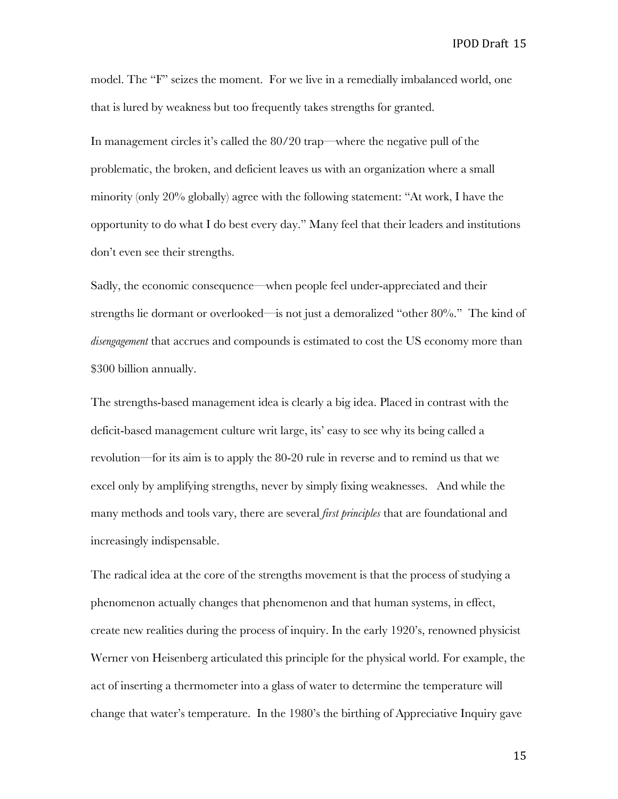model. The "F" seizes the moment. For we live in a remedially imbalanced world, one that is lured by weakness but too frequently takes strengths for granted.

In management circles it's called the 80/20 trap—where the negative pull of the problematic, the broken, and deficient leaves us with an organization where a small minority (only 20% globally) agree with the following statement: "At work, I have the opportunity to do what I do best every day." Many feel that their leaders and institutions don't even see their strengths.

Sadly, the economic consequence—when people feel under-appreciated and their strengths lie dormant or overlooked—is not just a demoralized "other 80%." The kind of *disengagement* that accrues and compounds is estimated to cost the US economy more than \$300 billion annually.

The strengths-based management idea is clearly a big idea. Placed in contrast with the deficit-based management culture writ large, its' easy to see why its being called a revolution—for its aim is to apply the 80-20 rule in reverse and to remind us that we excel only by amplifying strengths, never by simply fixing weaknesses. And while the many methods and tools vary, there are several *first principles* that are foundational and increasingly indispensable.

The radical idea at the core of the strengths movement is that the process of studying a phenomenon actually changes that phenomenon and that human systems, in effect, create new realities during the process of inquiry. In the early 1920's, renowned physicist Werner von Heisenberg articulated this principle for the physical world. For example, the act of inserting a thermometer into a glass of water to determine the temperature will change that water's temperature. In the 1980's the birthing of Appreciative Inquiry gave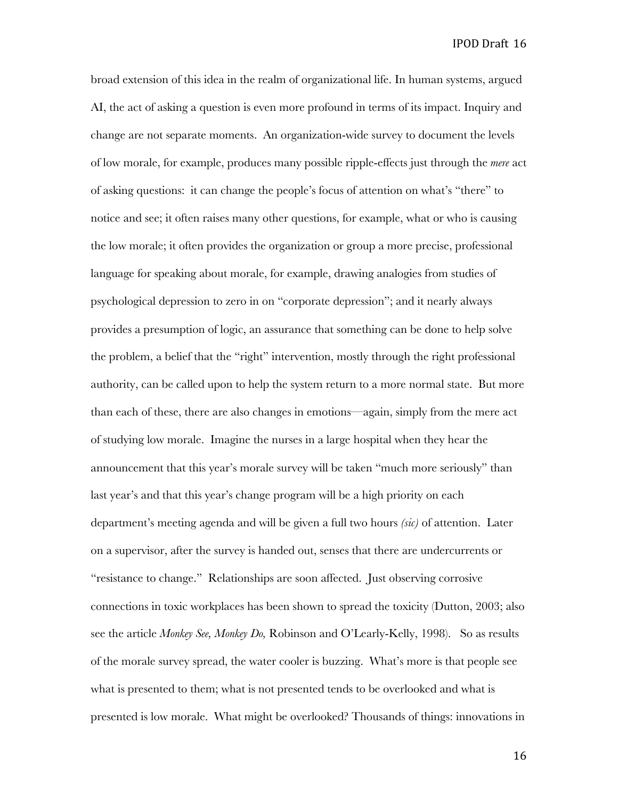broad extension of this idea in the realm of organizational life. In human systems, argued AI, the act of asking a question is even more profound in terms of its impact. Inquiry and change are not separate moments. An organization-wide survey to document the levels of low morale, for example, produces many possible ripple-effects just through the *mere* act of asking questions: it can change the people's focus of attention on what's "there" to notice and see; it often raises many other questions, for example, what or who is causing the low morale; it often provides the organization or group a more precise, professional language for speaking about morale, for example, drawing analogies from studies of psychological depression to zero in on "corporate depression"; and it nearly always provides a presumption of logic, an assurance that something can be done to help solve the problem, a belief that the "right" intervention, mostly through the right professional authority, can be called upon to help the system return to a more normal state. But more than each of these, there are also changes in emotions—again, simply from the mere act of studying low morale. Imagine the nurses in a large hospital when they hear the announcement that this year's morale survey will be taken "much more seriously" than last year's and that this year's change program will be a high priority on each department's meeting agenda and will be given a full two hours *(sic)* of attention. Later on a supervisor, after the survey is handed out, senses that there are undercurrents or "resistance to change." Relationships are soon affected. Just observing corrosive connections in toxic workplaces has been shown to spread the toxicity (Dutton, 2003; also see the article *Monkey See, Monkey Do,* Robinson and O'Learly-Kelly, 1998). So as results of the morale survey spread, the water cooler is buzzing. What's more is that people see what is presented to them; what is not presented tends to be overlooked and what is presented is low morale. What might be overlooked? Thousands of things: innovations in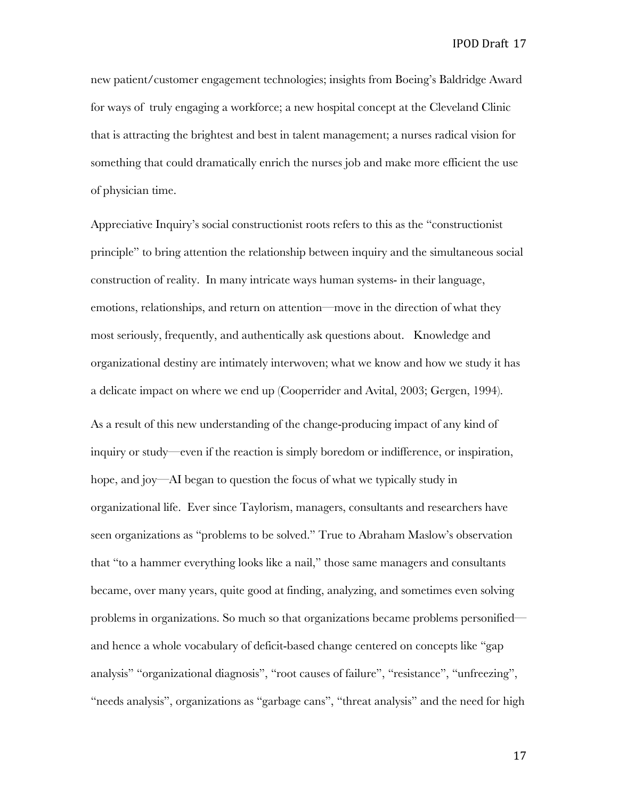new patient/customer engagement technologies; insights from Boeing's Baldridge Award for ways of truly engaging a workforce; a new hospital concept at the Cleveland Clinic that is attracting the brightest and best in talent management; a nurses radical vision for something that could dramatically enrich the nurses job and make more efficient the use of physician time.

Appreciative Inquiry's social constructionist roots refers to this as the "constructionist principle" to bring attention the relationship between inquiry and the simultaneous social construction of reality. In many intricate ways human systems- in their language, emotions, relationships, and return on attention—move in the direction of what they most seriously, frequently, and authentically ask questions about. Knowledge and organizational destiny are intimately interwoven; what we know and how we study it has a delicate impact on where we end up (Cooperrider and Avital, 2003; Gergen, 1994). As a result of this new understanding of the change-producing impact of any kind of inquiry or study—even if the reaction is simply boredom or indifference, or inspiration, hope, and joy—AI began to question the focus of what we typically study in organizational life. Ever since Taylorism, managers, consultants and researchers have seen organizations as "problems to be solved." True to Abraham Maslow's observation that "to a hammer everything looks like a nail," those same managers and consultants became, over many years, quite good at finding, analyzing, and sometimes even solving problems in organizations. So much so that organizations became problems personified and hence a whole vocabulary of deficit-based change centered on concepts like "gap analysis" "organizational diagnosis", "root causes of failure", "resistance", "unfreezing", "needs analysis", organizations as "garbage cans", "threat analysis" and the need for high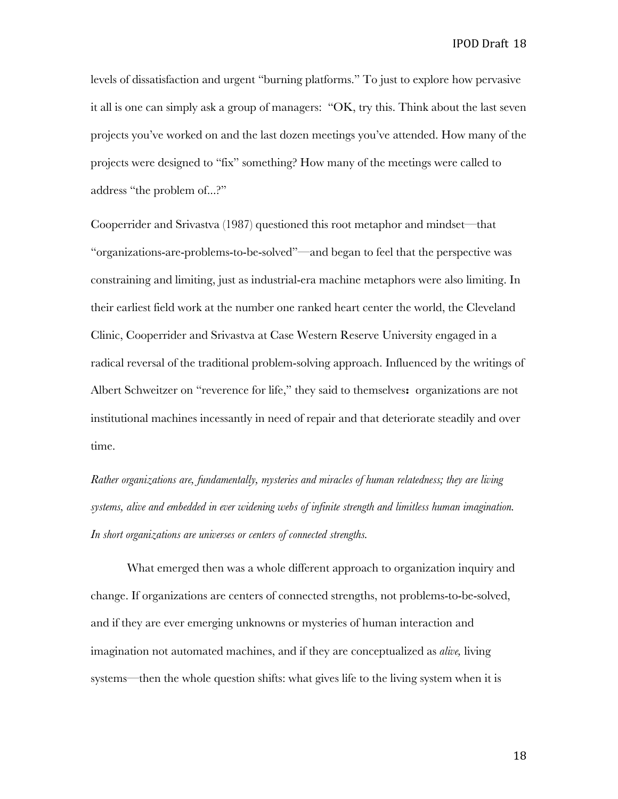levels of dissatisfaction and urgent "burning platforms." To just to explore how pervasive it all is one can simply ask a group of managers: "OK, try this. Think about the last seven projects you've worked on and the last dozen meetings you've attended. How many of the projects were designed to "fix" something? How many of the meetings were called to address "the problem of...?"

Cooperrider and Srivastva (1987) questioned this root metaphor and mindset—that "organizations-are-problems-to-be-solved"—and began to feel that the perspective was constraining and limiting, just as industrial-era machine metaphors were also limiting. In their earliest field work at the number one ranked heart center the world, the Cleveland Clinic, Cooperrider and Srivastva at Case Western Reserve University engaged in a radical reversal of the traditional problem-solving approach. Influenced by the writings of Albert Schweitzer on "reverence for life," they said to themselves**:** organizations are not institutional machines incessantly in need of repair and that deteriorate steadily and over time.

*Rather organizations are, fundamentally, mysteries and miracles of human relatedness; they are living systems, alive and embedded in ever widening webs of infinite strength and limitless human imagination. In short organizations are universes or centers of connected strengths.* 

What emerged then was a whole different approach to organization inquiry and change. If organizations are centers of connected strengths, not problems-to-be-solved, and if they are ever emerging unknowns or mysteries of human interaction and imagination not automated machines, and if they are conceptualized as *alive,* living systems—then the whole question shifts: what gives life to the living system when it is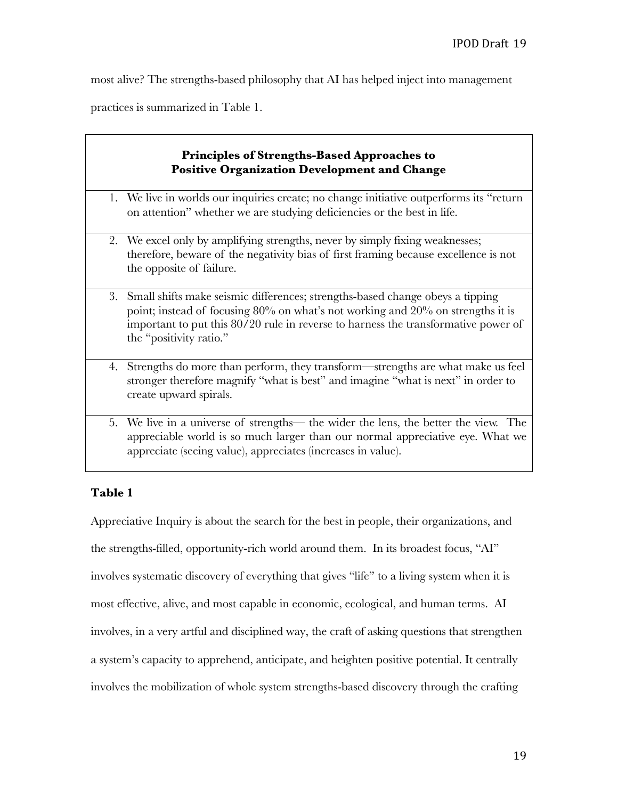٦

most alive? The strengths-based philosophy that AI has helped inject into management

practices is summarized in Table 1.

| <b>Principles of Strengths-Based Approaches to</b><br><b>Positive Organization Development and Change</b> |                                                                                                                                                                                                                                                                                   |
|-----------------------------------------------------------------------------------------------------------|-----------------------------------------------------------------------------------------------------------------------------------------------------------------------------------------------------------------------------------------------------------------------------------|
|                                                                                                           | 1. We live in worlds our inquiries create; no change initiative outperforms its "return<br>on attention" whether we are studying deficiencies or the best in life.                                                                                                                |
|                                                                                                           | 2. We excel only by amplifying strengths, never by simply fixing weaknesses;<br>therefore, beware of the negativity bias of first framing because excellence is not<br>the opposite of failure.                                                                                   |
| 3.                                                                                                        | Small shifts make seismic differences; strengths-based change obeys a tipping<br>point; instead of focusing 80% on what's not working and 20% on strengths it is<br>important to put this 80/20 rule in reverse to harness the transformative power of<br>the "positivity ratio." |
| 4.                                                                                                        | Strengths do more than perform, they transform—strengths are what make us feel<br>stronger therefore magnify "what is best" and imagine "what is next" in order to<br>create upward spirals.                                                                                      |
|                                                                                                           | 5. We live in a universe of strengths— the wider the lens, the better the view. The<br>appreciable world is so much larger than our normal appreciative eye. What we<br>appreciate (seeing value), appreciates (increases in value).                                              |

# **Table 1**

Appreciative Inquiry is about the search for the best in people, their organizations, and the strengths-filled, opportunity-rich world around them. In its broadest focus, "AI" involves systematic discovery of everything that gives "life" to a living system when it is most effective, alive, and most capable in economic, ecological, and human terms. AI involves, in a very artful and disciplined way, the craft of asking questions that strengthen a system's capacity to apprehend, anticipate, and heighten positive potential. It centrally involves the mobilization of whole system strengths-based discovery through the crafting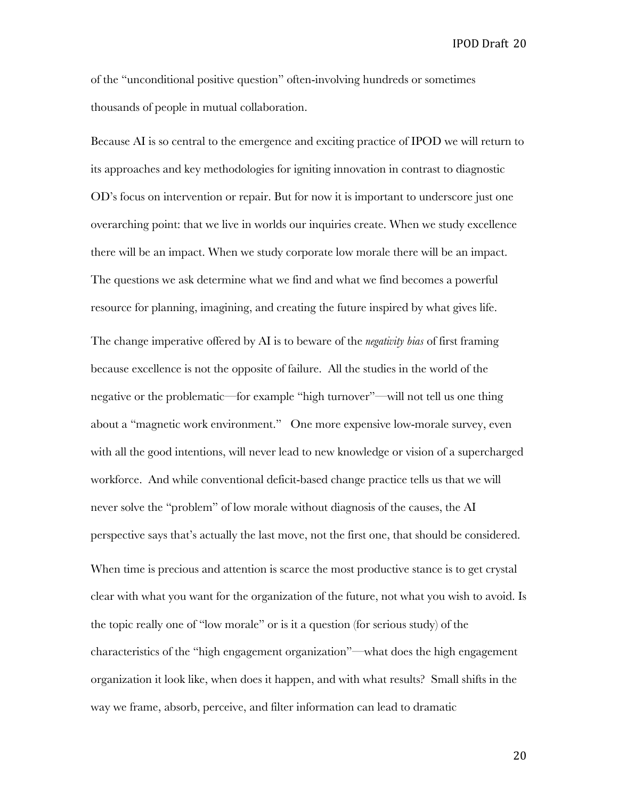of the "unconditional positive question" often-involving hundreds or sometimes thousands of people in mutual collaboration.

Because AI is so central to the emergence and exciting practice of IPOD we will return to its approaches and key methodologies for igniting innovation in contrast to diagnostic OD's focus on intervention or repair. But for now it is important to underscore just one overarching point: that we live in worlds our inquiries create. When we study excellence there will be an impact. When we study corporate low morale there will be an impact. The questions we ask determine what we find and what we find becomes a powerful resource for planning, imagining, and creating the future inspired by what gives life. The change imperative offered by AI is to beware of the *negativity bias* of first framing because excellence is not the opposite of failure. All the studies in the world of the negative or the problematic—for example "high turnover"—will not tell us one thing about a "magnetic work environment." One more expensive low-morale survey, even with all the good intentions, will never lead to new knowledge or vision of a supercharged workforce. And while conventional deficit-based change practice tells us that we will never solve the "problem" of low morale without diagnosis of the causes, the AI perspective says that's actually the last move, not the first one, that should be considered. When time is precious and attention is scarce the most productive stance is to get crystal clear with what you want for the organization of the future, not what you wish to avoid. Is the topic really one of "low morale" or is it a question (for serious study) of the characteristics of the "high engagement organization"—what does the high engagement organization it look like, when does it happen, and with what results? Small shifts in the way we frame, absorb, perceive, and filter information can lead to dramatic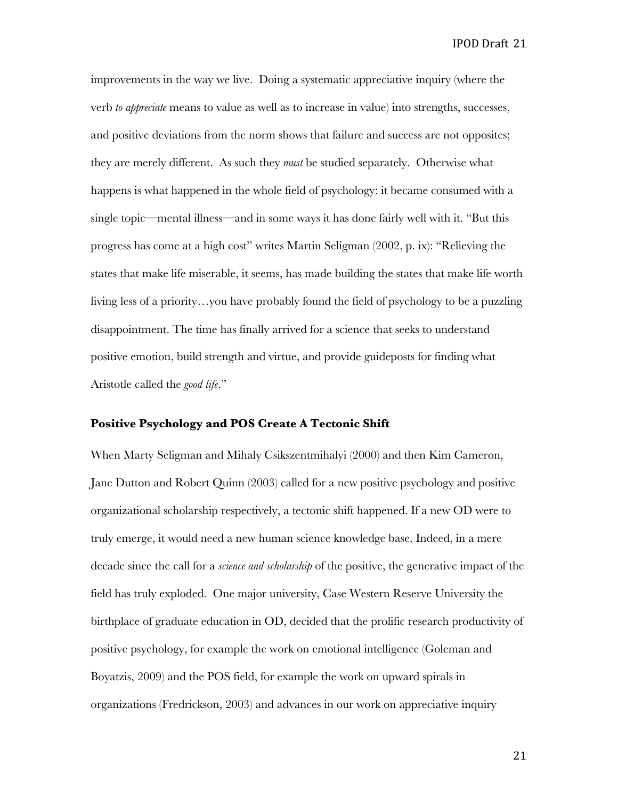improvements in the way we live. Doing a systematic appreciative inquiry (where the verb *to appreciate* means to value as well as to increase in value) into strengths, successes, and positive deviations from the norm shows that failure and success are not opposites; they are merely different. As such they *must* be studied separately. Otherwise what happens is what happened in the whole field of psychology: it became consumed with a single topic—mental illness—and in some ways it has done fairly well with it. "But this progress has come at a high cost" writes Martin Seligman (2002, p. ix): "Relieving the states that make life miserable, it seems, has made building the states that make life worth living less of a priority…you have probably found the field of psychology to be a puzzling disappointment. The time has finally arrived for a science that seeks to understand positive emotion, build strength and virtue, and provide guideposts for finding what Aristotle called the *good life*."

#### **Positive Psychology and POS Create A Tectonic Shift**

When Marty Seligman and Mihaly Csikszentmihalyi (2000) and then Kim Cameron, Jane Dutton and Robert Quinn (2003) called for a new positive psychology and positive organizational scholarship respectively, a tectonic shift happened. If a new OD were to truly emerge, it would need a new human science knowledge base. Indeed, in a mere decade since the call for a *science and scholarship* of the positive, the generative impact of the field has truly exploded. One major university, Case Western Reserve University the birthplace of graduate education in OD, decided that the prolific research productivity of positive psychology, for example the work on emotional intelligence (Goleman and Boyatzis, 2009) and the POS field, for example the work on upward spirals in organizations (Fredrickson, 2003) and advances in our work on appreciative inquiry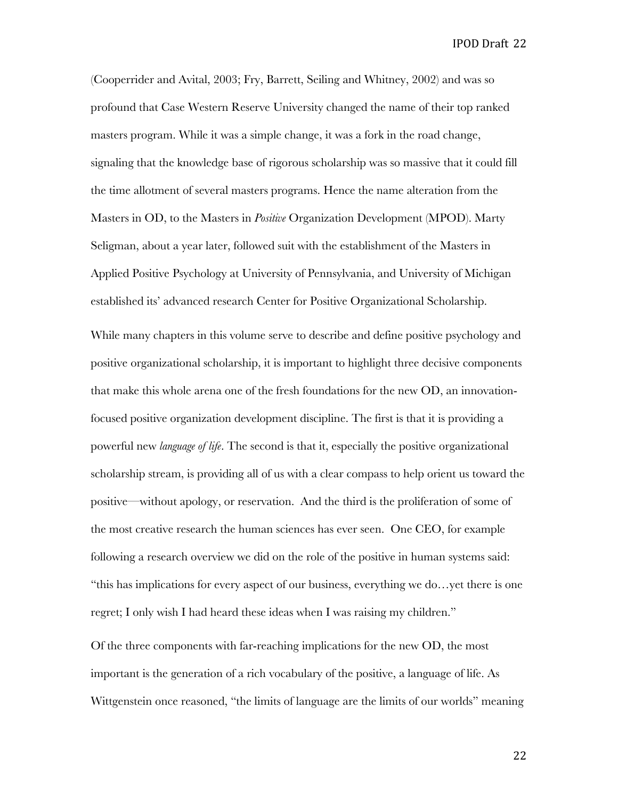(Cooperrider and Avital, 2003; Fry, Barrett, Seiling and Whitney, 2002) and was so profound that Case Western Reserve University changed the name of their top ranked masters program. While it was a simple change, it was a fork in the road change, signaling that the knowledge base of rigorous scholarship was so massive that it could fill the time allotment of several masters programs. Hence the name alteration from the Masters in OD, to the Masters in *Positive* Organization Development (MPOD). Marty Seligman, about a year later, followed suit with the establishment of the Masters in Applied Positive Psychology at University of Pennsylvania, and University of Michigan established its' advanced research Center for Positive Organizational Scholarship. While many chapters in this volume serve to describe and define positive psychology and positive organizational scholarship, it is important to highlight three decisive components that make this whole arena one of the fresh foundations for the new OD, an innovationfocused positive organization development discipline. The first is that it is providing a powerful new *language of life*. The second is that it, especially the positive organizational scholarship stream, is providing all of us with a clear compass to help orient us toward the positive—without apology, or reservation. And the third is the proliferation of some of the most creative research the human sciences has ever seen. One CEO, for example following a research overview we did on the role of the positive in human systems said: "this has implications for every aspect of our business, everything we do…yet there is one regret; I only wish I had heard these ideas when I was raising my children."

Of the three components with far-reaching implications for the new OD, the most important is the generation of a rich vocabulary of the positive, a language of life. As Wittgenstein once reasoned, "the limits of language are the limits of our worlds" meaning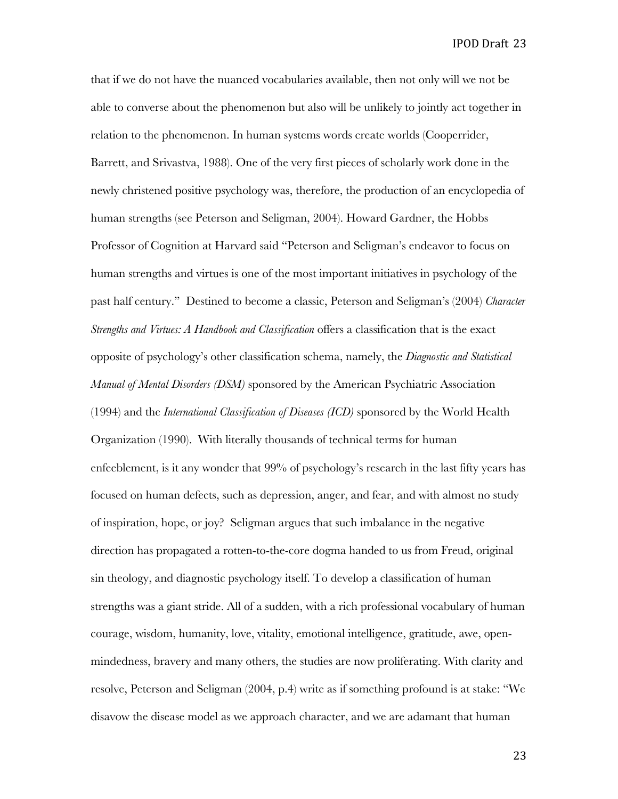that if we do not have the nuanced vocabularies available, then not only will we not be able to converse about the phenomenon but also will be unlikely to jointly act together in relation to the phenomenon. In human systems words create worlds (Cooperrider, Barrett, and Srivastva, 1988). One of the very first pieces of scholarly work done in the newly christened positive psychology was, therefore, the production of an encyclopedia of human strengths (see Peterson and Seligman, 2004). Howard Gardner, the Hobbs Professor of Cognition at Harvard said "Peterson and Seligman's endeavor to focus on human strengths and virtues is one of the most important initiatives in psychology of the past half century." Destined to become a classic, Peterson and Seligman's (2004) *Character Strengths and Virtues: A Handbook and Classification* offers a classification that is the exact opposite of psychology's other classification schema, namely, the *Diagnostic and Statistical Manual of Mental Disorders (DSM)* sponsored by the American Psychiatric Association (1994) and the *International Classification of Diseases (ICD)* sponsored by the World Health Organization (1990). With literally thousands of technical terms for human enfeeblement, is it any wonder that 99% of psychology's research in the last fifty years has focused on human defects, such as depression, anger, and fear, and with almost no study of inspiration, hope, or joy? Seligman argues that such imbalance in the negative direction has propagated a rotten-to-the-core dogma handed to us from Freud, original sin theology, and diagnostic psychology itself. To develop a classification of human strengths was a giant stride. All of a sudden, with a rich professional vocabulary of human courage, wisdom, humanity, love, vitality, emotional intelligence, gratitude, awe, openmindedness, bravery and many others, the studies are now proliferating. With clarity and resolve, Peterson and Seligman (2004, p.4) write as if something profound is at stake: "We disavow the disease model as we approach character, and we are adamant that human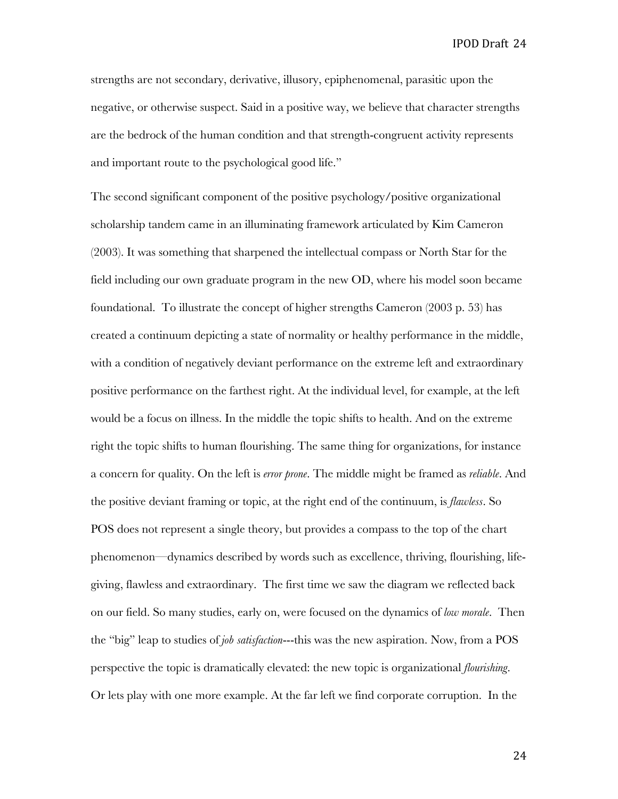strengths are not secondary, derivative, illusory, epiphenomenal, parasitic upon the negative, or otherwise suspect. Said in a positive way, we believe that character strengths are the bedrock of the human condition and that strength-congruent activity represents and important route to the psychological good life."

The second significant component of the positive psychology/positive organizational scholarship tandem came in an illuminating framework articulated by Kim Cameron (2003). It was something that sharpened the intellectual compass or North Star for the field including our own graduate program in the new OD, where his model soon became foundational. To illustrate the concept of higher strengths Cameron (2003 p. 53) has created a continuum depicting a state of normality or healthy performance in the middle, with a condition of negatively deviant performance on the extreme left and extraordinary positive performance on the farthest right. At the individual level, for example, at the left would be a focus on illness. In the middle the topic shifts to health. And on the extreme right the topic shifts to human flourishing. The same thing for organizations, for instance a concern for quality. On the left is *error prone*. The middle might be framed as *reliable*. And the positive deviant framing or topic, at the right end of the continuum, is *flawless*. So POS does not represent a single theory, but provides a compass to the top of the chart phenomenon—dynamics described by words such as excellence, thriving, flourishing, lifegiving, flawless and extraordinary. The first time we saw the diagram we reflected back on our field. So many studies, early on, were focused on the dynamics of *low morale*. Then the "big" leap to studies of *job satisfaction*---this was the new aspiration. Now, from a POS perspective the topic is dramatically elevated: the new topic is organizational *flourishing*. Or lets play with one more example. At the far left we find corporate corruption. In the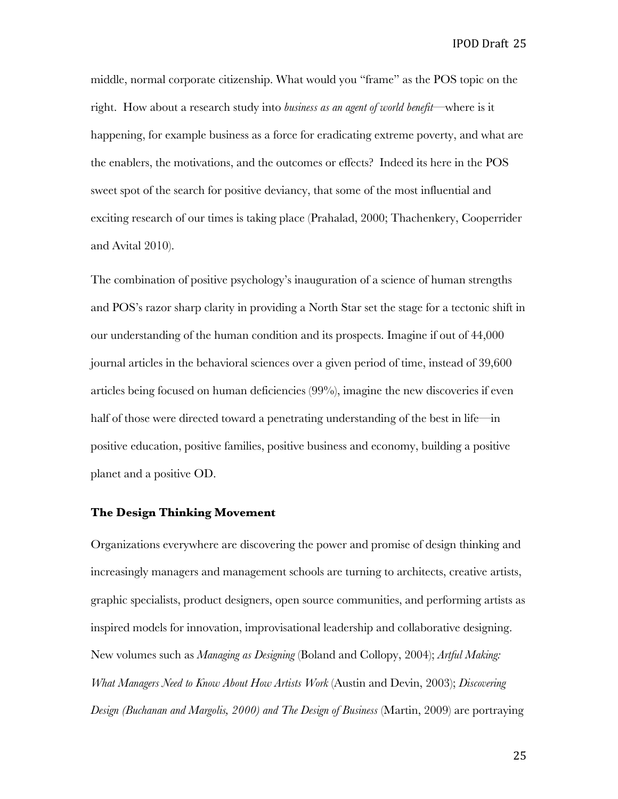middle, normal corporate citizenship. What would you "frame" as the POS topic on the right. How about a research study into *business as an agent of world benefit*—where is it happening, for example business as a force for eradicating extreme poverty, and what are the enablers, the motivations, and the outcomes or effects? Indeed its here in the POS sweet spot of the search for positive deviancy, that some of the most influential and exciting research of our times is taking place (Prahalad, 2000; Thachenkery, Cooperrider and Avital 2010).

The combination of positive psychology's inauguration of a science of human strengths and POS's razor sharp clarity in providing a North Star set the stage for a tectonic shift in our understanding of the human condition and its prospects. Imagine if out of 44,000 journal articles in the behavioral sciences over a given period of time, instead of 39,600 articles being focused on human deficiencies (99%), imagine the new discoveries if even half of those were directed toward a penetrating understanding of the best in life—in positive education, positive families, positive business and economy, building a positive planet and a positive OD.

#### **The Design Thinking Movement**

Organizations everywhere are discovering the power and promise of design thinking and increasingly managers and management schools are turning to architects, creative artists, graphic specialists, product designers, open source communities, and performing artists as inspired models for innovation, improvisational leadership and collaborative designing. New volumes such as *Managing as Designing* (Boland and Collopy, 2004); *Artful Making: What Managers Need to Know About How Artists Work* (Austin and Devin, 2003); *Discovering Design (Buchanan and Margolis, 2000) and The Design of Business* (Martin, 2009) are portraying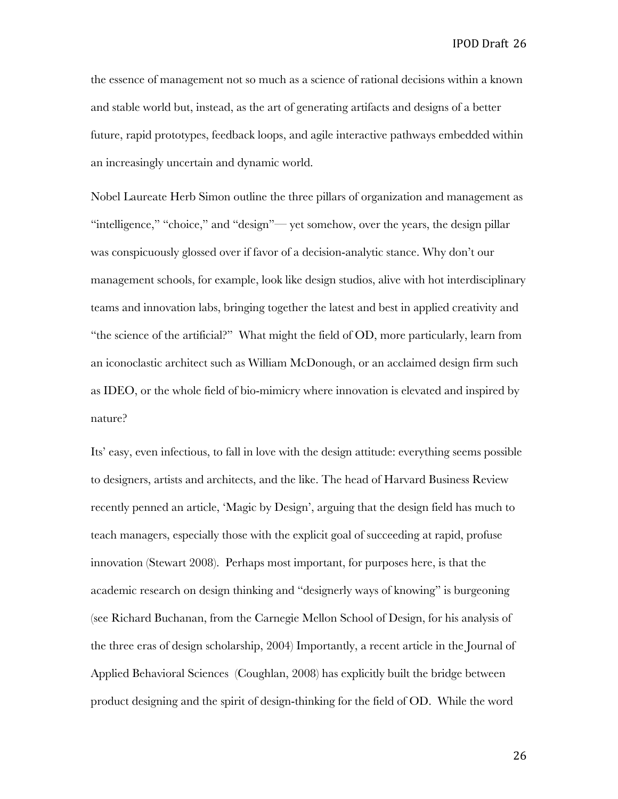the essence of management not so much as a science of rational decisions within a known and stable world but, instead, as the art of generating artifacts and designs of a better future, rapid prototypes, feedback loops, and agile interactive pathways embedded within an increasingly uncertain and dynamic world.

Nobel Laureate Herb Simon outline the three pillars of organization and management as "intelligence," "choice," and "design"— yet somehow, over the years, the design pillar was conspicuously glossed over if favor of a decision-analytic stance. Why don't our management schools, for example, look like design studios, alive with hot interdisciplinary teams and innovation labs, bringing together the latest and best in applied creativity and "the science of the artificial?" What might the field of OD, more particularly, learn from an iconoclastic architect such as William McDonough, or an acclaimed design firm such as IDEO, or the whole field of bio-mimicry where innovation is elevated and inspired by nature?

Its' easy, even infectious, to fall in love with the design attitude: everything seems possible to designers, artists and architects, and the like. The head of Harvard Business Review recently penned an article, 'Magic by Design', arguing that the design field has much to teach managers, especially those with the explicit goal of succeeding at rapid, profuse innovation (Stewart 2008). Perhaps most important, for purposes here, is that the academic research on design thinking and "designerly ways of knowing" is burgeoning (see Richard Buchanan, from the Carnegie Mellon School of Design, for his analysis of the three eras of design scholarship, 2004) Importantly, a recent article in the Journal of Applied Behavioral Sciences (Coughlan, 2008) has explicitly built the bridge between product designing and the spirit of design-thinking for the field of OD. While the word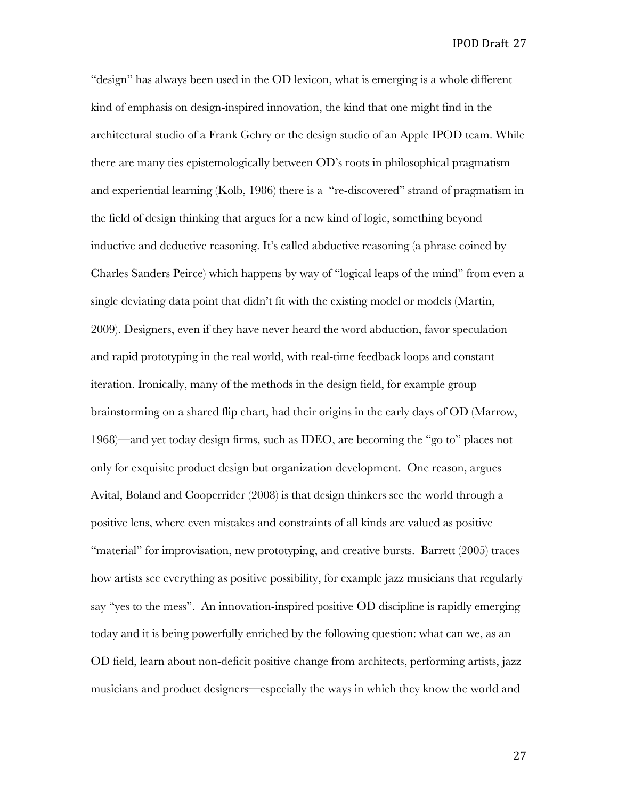"design" has always been used in the OD lexicon, what is emerging is a whole different kind of emphasis on design-inspired innovation, the kind that one might find in the architectural studio of a Frank Gehry or the design studio of an Apple IPOD team. While there are many ties epistemologically between OD's roots in philosophical pragmatism and experiential learning (Kolb, 1986) there is a "re-discovered" strand of pragmatism in the field of design thinking that argues for a new kind of logic, something beyond inductive and deductive reasoning. It's called abductive reasoning (a phrase coined by Charles Sanders Peirce) which happens by way of "logical leaps of the mind" from even a single deviating data point that didn't fit with the existing model or models (Martin, 2009). Designers, even if they have never heard the word abduction, favor speculation and rapid prototyping in the real world, with real-time feedback loops and constant iteration. Ironically, many of the methods in the design field, for example group brainstorming on a shared flip chart, had their origins in the early days of OD (Marrow, 1968)—and yet today design firms, such as IDEO, are becoming the "go to" places not only for exquisite product design but organization development. One reason, argues Avital, Boland and Cooperrider (2008) is that design thinkers see the world through a positive lens, where even mistakes and constraints of all kinds are valued as positive "material" for improvisation, new prototyping, and creative bursts. Barrett (2005) traces how artists see everything as positive possibility, for example jazz musicians that regularly say "yes to the mess". An innovation-inspired positive OD discipline is rapidly emerging today and it is being powerfully enriched by the following question: what can we, as an OD field, learn about non-deficit positive change from architects, performing artists, jazz musicians and product designers—especially the ways in which they know the world and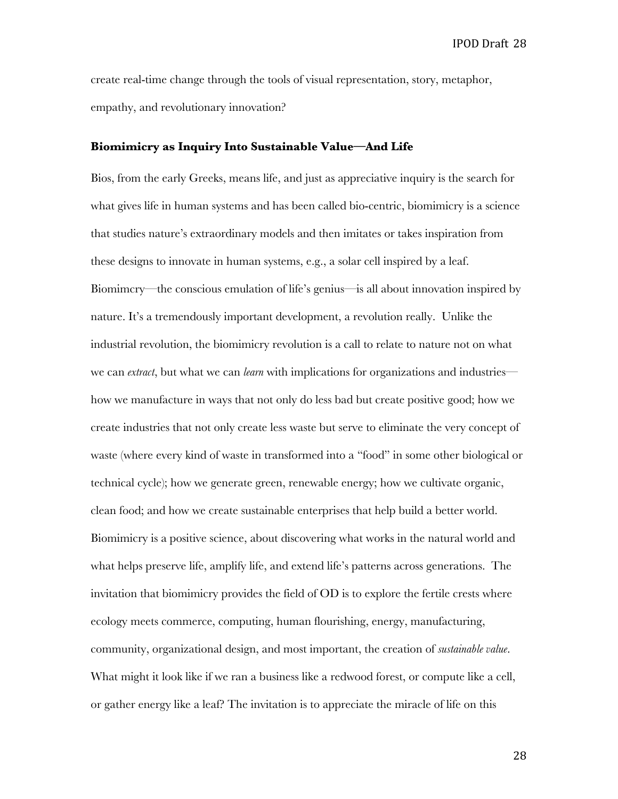create real-time change through the tools of visual representation, story, metaphor, empathy, and revolutionary innovation?

#### **Biomimicry as Inquiry Into Sustainable Value—And Life**

Bios, from the early Greeks, means life, and just as appreciative inquiry is the search for what gives life in human systems and has been called bio-centric, biomimicry is a science that studies nature's extraordinary models and then imitates or takes inspiration from these designs to innovate in human systems, e.g., a solar cell inspired by a leaf. Biomimcry—the conscious emulation of life's genius—is all about innovation inspired by nature. It's a tremendously important development, a revolution really. Unlike the industrial revolution, the biomimicry revolution is a call to relate to nature not on what we can *extract*, but what we can *learn* with implications for organizations and industries how we manufacture in ways that not only do less bad but create positive good; how we create industries that not only create less waste but serve to eliminate the very concept of waste (where every kind of waste in transformed into a "food" in some other biological or technical cycle); how we generate green, renewable energy; how we cultivate organic, clean food; and how we create sustainable enterprises that help build a better world. Biomimicry is a positive science, about discovering what works in the natural world and what helps preserve life, amplify life, and extend life's patterns across generations. The invitation that biomimicry provides the field of OD is to explore the fertile crests where ecology meets commerce, computing, human flourishing, energy, manufacturing, community, organizational design, and most important, the creation of *sustainable value*. What might it look like if we ran a business like a redwood forest, or compute like a cell, or gather energy like a leaf? The invitation is to appreciate the miracle of life on this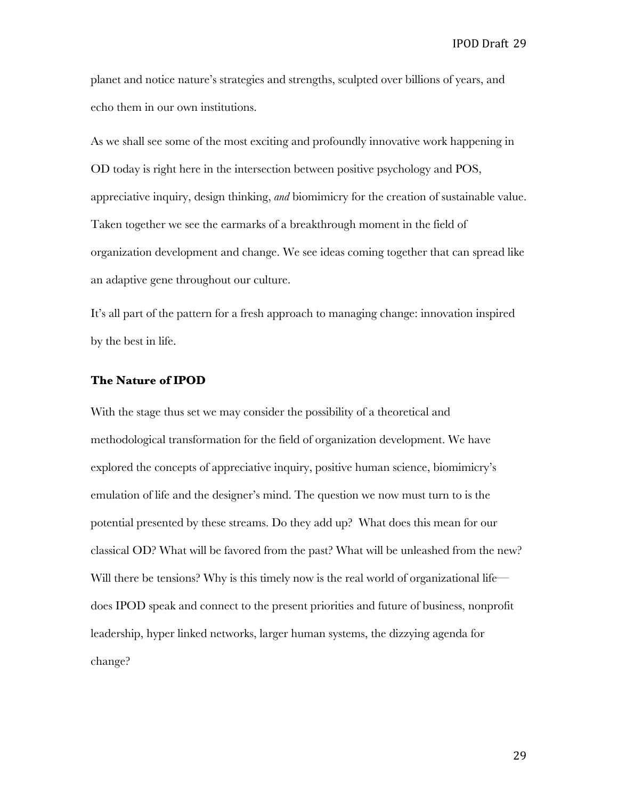planet and notice nature's strategies and strengths, sculpted over billions of years, and echo them in our own institutions.

As we shall see some of the most exciting and profoundly innovative work happening in OD today is right here in the intersection between positive psychology and POS, appreciative inquiry, design thinking, *and* biomimicry for the creation of sustainable value. Taken together we see the earmarks of a breakthrough moment in the field of organization development and change. We see ideas coming together that can spread like an adaptive gene throughout our culture.

It's all part of the pattern for a fresh approach to managing change: innovation inspired by the best in life.

#### **The Nature of IPOD**

With the stage thus set we may consider the possibility of a theoretical and methodological transformation for the field of organization development. We have explored the concepts of appreciative inquiry, positive human science, biomimicry's emulation of life and the designer's mind. The question we now must turn to is the potential presented by these streams. Do they add up? What does this mean for our classical OD? What will be favored from the past? What will be unleashed from the new? Will there be tensions? Why is this timely now is the real world of organizational life does IPOD speak and connect to the present priorities and future of business, nonprofit leadership, hyper linked networks, larger human systems, the dizzying agenda for change?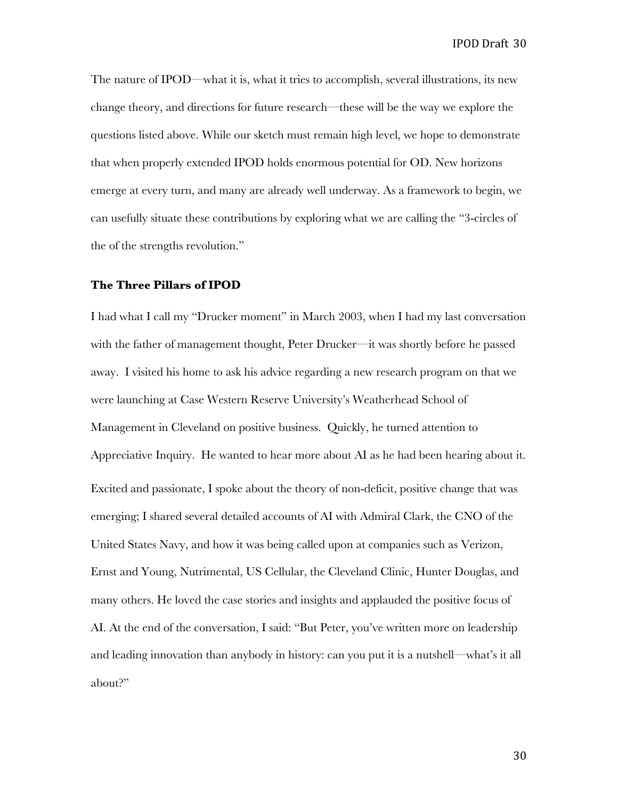The nature of IPOD—what it is, what it tries to accomplish, several illustrations, its new change theory, and directions for future research—these will be the way we explore the questions listed above. While our sketch must remain high level, we hope to demonstrate that when properly extended IPOD holds enormous potential for OD. New horizons emerge at every turn, and many are already well underway. As a framework to begin, we can usefully situate these contributions by exploring what we are calling the "3-circles of the of the strengths revolution."

#### **The Three Pillars of IPOD**

I had what I call my "Drucker moment" in March 2003, when I had my last conversation with the father of management thought, Peter Drucker—it was shortly before he passed away. I visited his home to ask his advice regarding a new research program on that we were launching at Case Western Reserve University's Weatherhead School of Management in Cleveland on positive business. Quickly, he turned attention to Appreciative Inquiry. He wanted to hear more about AI as he had been hearing about it. Excited and passionate, I spoke about the theory of non-deficit, positive change that was emerging; I shared several detailed accounts of AI with Admiral Clark, the CNO of the United States Navy, and how it was being called upon at companies such as Verizon, Ernst and Young, Nutrimental, US Cellular, the Cleveland Clinic, Hunter Douglas, and many others. He loved the case stories and insights and applauded the positive focus of AI. At the end of the conversation, I said: "But Peter, you've written more on leadership and leading innovation than anybody in history: can you put it is a nutshell—what's it all about?"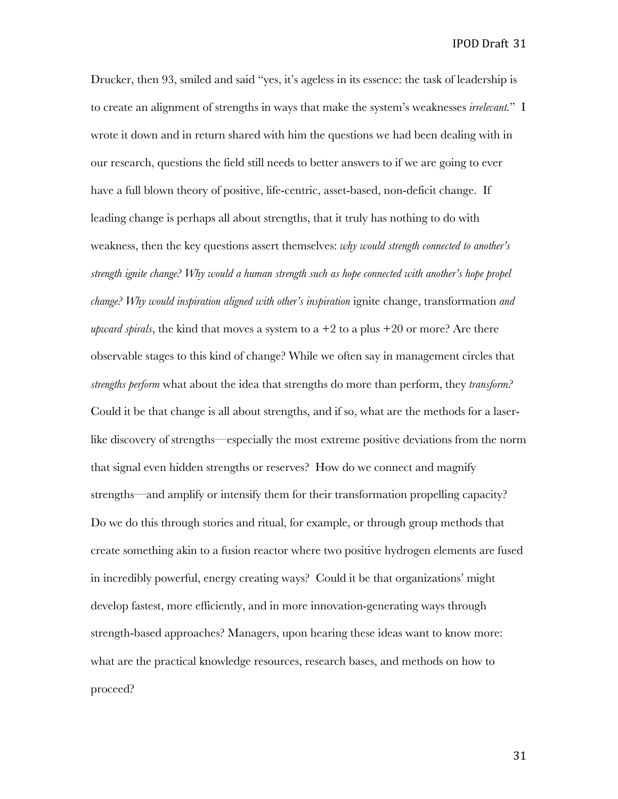Drucker, then 93, smiled and said "yes, it's ageless in its essence: the task of leadership is to create an alignment of strengths in ways that make the system's weaknesses *irrelevant.*" I wrote it down and in return shared with him the questions we had been dealing with in our research, questions the field still needs to better answers to if we are going to ever have a full blown theory of positive, life-centric, asset-based, non-deficit change. If leading change is perhaps all about strengths, that it truly has nothing to do with weakness, then the key questions assert themselves: *why would strength connected to another's strength ignite change? Why would a human strength such as hope connected with another's hope propel change? Why would inspiration aligned with other's inspiration* ignite change, transformation *and upward spirals*, the kind that moves a system to  $a + 2$  to a plus  $+20$  or more? Are there observable stages to this kind of change? While we often say in management circles that *strengths perform* what about the idea that strengths do more than perform, they *transform?*  Could it be that change is all about strengths, and if so, what are the methods for a laserlike discovery of strengths—especially the most extreme positive deviations from the norm that signal even hidden strengths or reserves? How do we connect and magnify strengths—and amplify or intensify them for their transformation propelling capacity? Do we do this through stories and ritual, for example, or through group methods that create something akin to a fusion reactor where two positive hydrogen elements are fused in incredibly powerful, energy creating ways? Could it be that organizations' might develop fastest, more efficiently, and in more innovation-generating ways through strength-based approaches? Managers, upon hearing these ideas want to know more: what are the practical knowledge resources, research bases, and methods on how to proceed?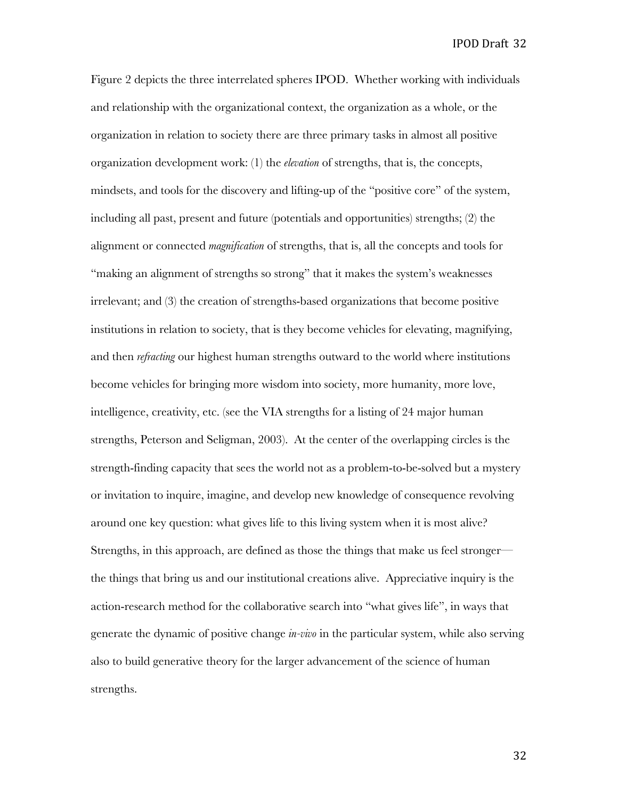Figure 2 depicts the three interrelated spheres IPOD. Whether working with individuals and relationship with the organizational context, the organization as a whole, or the organization in relation to society there are three primary tasks in almost all positive organization development work: (1) the *elevation* of strengths, that is, the concepts, mindsets, and tools for the discovery and lifting-up of the "positive core" of the system, including all past, present and future (potentials and opportunities) strengths; (2) the alignment or connected *magnification* of strengths, that is, all the concepts and tools for "making an alignment of strengths so strong" that it makes the system's weaknesses irrelevant; and (3) the creation of strengths-based organizations that become positive institutions in relation to society, that is they become vehicles for elevating, magnifying, and then *refracting* our highest human strengths outward to the world where institutions become vehicles for bringing more wisdom into society, more humanity, more love, intelligence, creativity, etc. (see the VIA strengths for a listing of 24 major human strengths, Peterson and Seligman, 2003). At the center of the overlapping circles is the strength-finding capacity that sees the world not as a problem-to-be-solved but a mystery or invitation to inquire, imagine, and develop new knowledge of consequence revolving around one key question: what gives life to this living system when it is most alive? Strengths, in this approach, are defined as those the things that make us feel stronger the things that bring us and our institutional creations alive. Appreciative inquiry is the action-research method for the collaborative search into "what gives life", in ways that generate the dynamic of positive change *in-vivo* in the particular system, while also serving also to build generative theory for the larger advancement of the science of human strengths.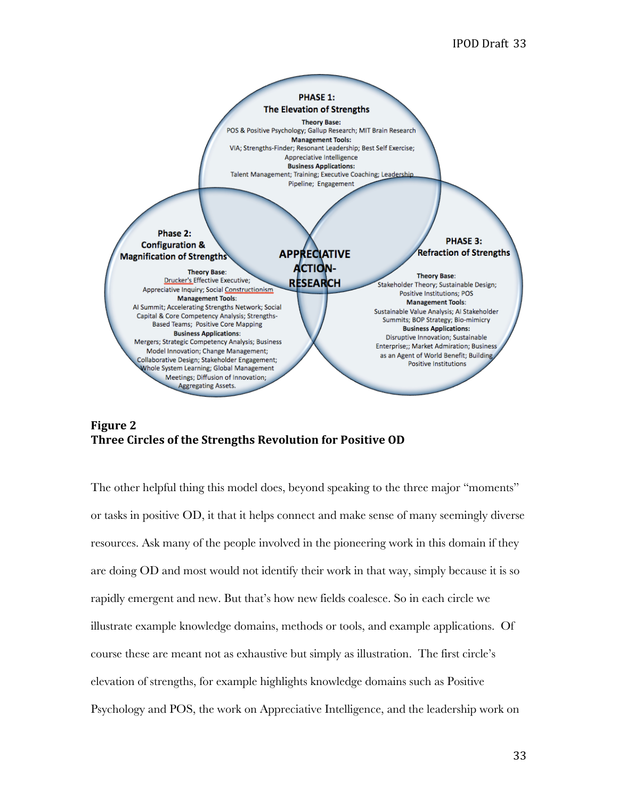



The other helpful thing this model does, beyond speaking to the three major "moments" or tasks in positive OD, it that it helps connect and make sense of many seemingly diverse resources. Ask many of the people involved in the pioneering work in this domain if they are doing OD and most would not identify their work in that way, simply because it is so rapidly emergent and new. But that's how new fields coalesce. So in each circle we illustrate example knowledge domains, methods or tools, and example applications. Of course these are meant not as exhaustive but simply as illustration. The first circle's elevation of strengths, for example highlights knowledge domains such as Positive Psychology and POS, the work on Appreciative Intelligence, and the leadership work on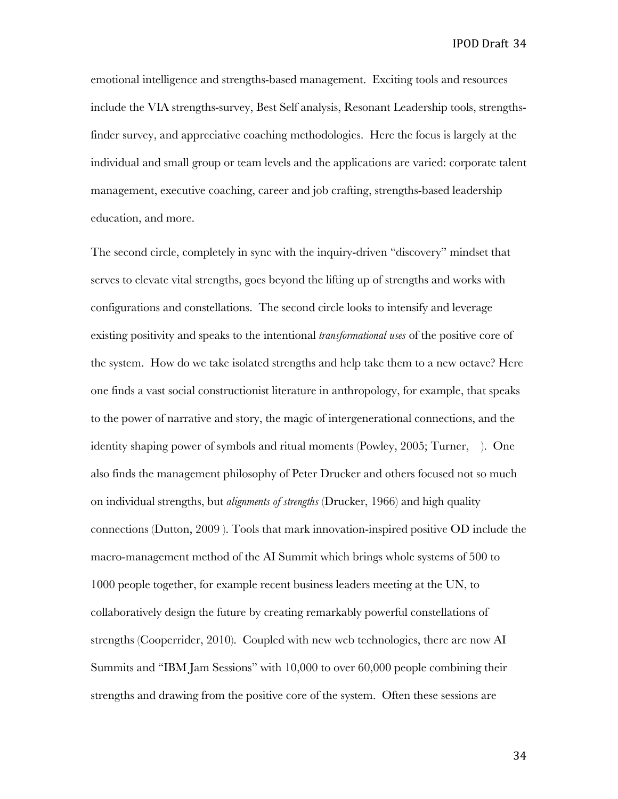emotional intelligence and strengths-based management. Exciting tools and resources include the VIA strengths-survey, Best Self analysis, Resonant Leadership tools, strengthsfinder survey, and appreciative coaching methodologies. Here the focus is largely at the individual and small group or team levels and the applications are varied: corporate talent management, executive coaching, career and job crafting, strengths-based leadership education, and more.

The second circle, completely in sync with the inquiry-driven "discovery" mindset that serves to elevate vital strengths, goes beyond the lifting up of strengths and works with configurations and constellations. The second circle looks to intensify and leverage existing positivity and speaks to the intentional *transformational uses* of the positive core of the system. How do we take isolated strengths and help take them to a new octave? Here one finds a vast social constructionist literature in anthropology, for example, that speaks to the power of narrative and story, the magic of intergenerational connections, and the identity shaping power of symbols and ritual moments (Powley, 2005; Turner, ). One also finds the management philosophy of Peter Drucker and others focused not so much on individual strengths, but *alignments of strengths* (Drucker, 1966) and high quality connections (Dutton, 2009 ). Tools that mark innovation-inspired positive OD include the macro-management method of the AI Summit which brings whole systems of 500 to 1000 people together, for example recent business leaders meeting at the UN, to collaboratively design the future by creating remarkably powerful constellations of strengths (Cooperrider, 2010). Coupled with new web technologies, there are now AI Summits and "IBM Jam Sessions" with 10,000 to over 60,000 people combining their strengths and drawing from the positive core of the system. Often these sessions are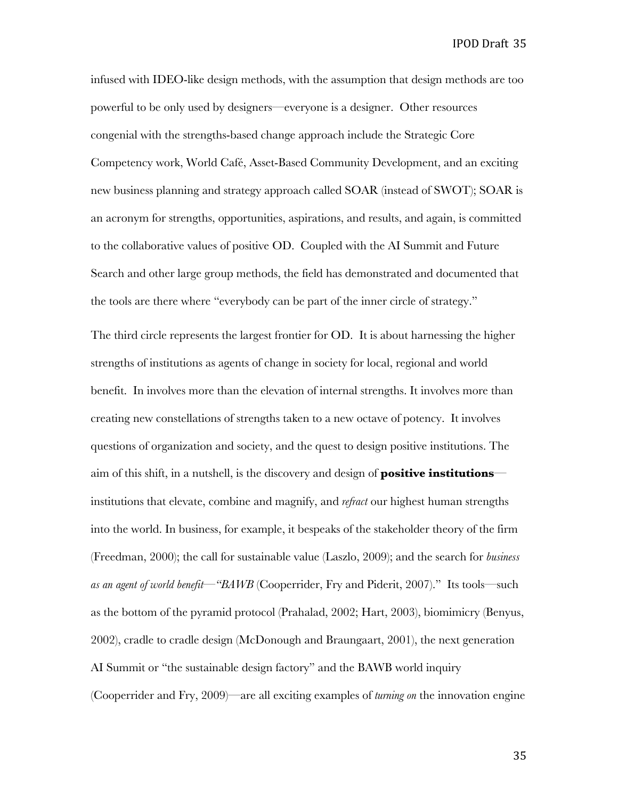infused with IDEO-like design methods, with the assumption that design methods are too powerful to be only used by designers—everyone is a designer. Other resources congenial with the strengths-based change approach include the Strategic Core Competency work, World Café, Asset-Based Community Development, and an exciting new business planning and strategy approach called SOAR (instead of SWOT); SOAR is an acronym for strengths, opportunities, aspirations, and results, and again, is committed to the collaborative values of positive OD. Coupled with the AI Summit and Future Search and other large group methods, the field has demonstrated and documented that the tools are there where "everybody can be part of the inner circle of strategy."

The third circle represents the largest frontier for OD. It is about harnessing the higher strengths of institutions as agents of change in society for local, regional and world benefit. In involves more than the elevation of internal strengths. It involves more than creating new constellations of strengths taken to a new octave of potency. It involves questions of organization and society, and the quest to design positive institutions. The aim of this shift, in a nutshell, is the discovery and design of **positive institutions** institutions that elevate, combine and magnify, and *refract* our highest human strengths into the world. In business, for example, it bespeaks of the stakeholder theory of the firm (Freedman, 2000); the call for sustainable value (Laszlo, 2009); and the search for *business as an agent of world benefit—"BAWB* (Cooperrider, Fry and Piderit, 2007)." Its tools—such as the bottom of the pyramid protocol (Prahalad, 2002; Hart, 2003), biomimicry (Benyus, 2002), cradle to cradle design (McDonough and Braungaart, 2001), the next generation AI Summit or "the sustainable design factory" and the BAWB world inquiry (Cooperrider and Fry, 2009)—are all exciting examples of *turning on* the innovation engine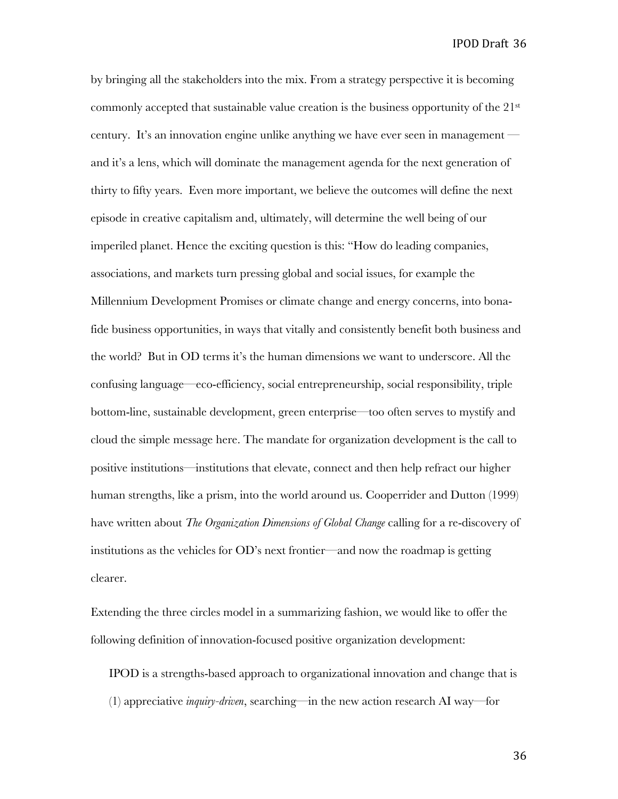by bringing all the stakeholders into the mix. From a strategy perspective it is becoming commonly accepted that sustainable value creation is the business opportunity of the 21<sup>st</sup> century. It's an innovation engine unlike anything we have ever seen in management and it's a lens, which will dominate the management agenda for the next generation of thirty to fifty years. Even more important, we believe the outcomes will define the next episode in creative capitalism and, ultimately, will determine the well being of our imperiled planet. Hence the exciting question is this: "How do leading companies, associations, and markets turn pressing global and social issues, for example the Millennium Development Promises or climate change and energy concerns, into bonafide business opportunities, in ways that vitally and consistently benefit both business and the world? But in OD terms it's the human dimensions we want to underscore. All the confusing language—eco-efficiency, social entrepreneurship, social responsibility, triple bottom-line, sustainable development, green enterprise—too often serves to mystify and cloud the simple message here. The mandate for organization development is the call to positive institutions—institutions that elevate, connect and then help refract our higher human strengths, like a prism, into the world around us. Cooperrider and Dutton (1999) have written about *The Organization Dimensions of Global Change* calling for a re-discovery of institutions as the vehicles for OD's next frontier—and now the roadmap is getting clearer.

Extending the three circles model in a summarizing fashion, we would like to offer the following definition of innovation-focused positive organization development:

IPOD is a strengths-based approach to organizational innovation and change that is (1) appreciative *inquiry-driven*, searching—in the new action research AI way—for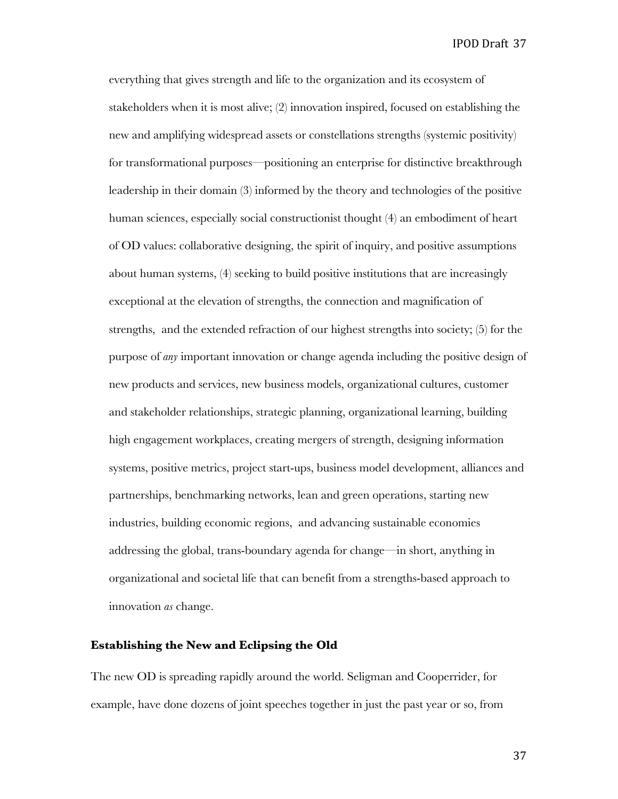everything that gives strength and life to the organization and its ecosystem of stakeholders when it is most alive; (2) innovation inspired, focused on establishing the new and amplifying widespread assets or constellations strengths (systemic positivity) for transformational purposes—positioning an enterprise for distinctive breakthrough leadership in their domain (3) informed by the theory and technologies of the positive human sciences, especially social constructionist thought (4) an embodiment of heart of OD values: collaborative designing, the spirit of inquiry, and positive assumptions about human systems, (4) seeking to build positive institutions that are increasingly exceptional at the elevation of strengths, the connection and magnification of strengths, and the extended refraction of our highest strengths into society; (5) for the purpose of *any* important innovation or change agenda including the positive design of new products and services, new business models, organizational cultures, customer and stakeholder relationships, strategic planning, organizational learning, building high engagement workplaces, creating mergers of strength, designing information systems, positive metrics, project start-ups, business model development, alliances and partnerships, benchmarking networks, lean and green operations, starting new industries, building economic regions, and advancing sustainable economies addressing the global, trans-boundary agenda for change—in short, anything in organizational and societal life that can benefit from a strengths-based approach to innovation *as* change.

### **Establishing the New and Eclipsing the Old**

The new OD is spreading rapidly around the world. Seligman and Cooperrider, for example, have done dozens of joint speeches together in just the past year or so, from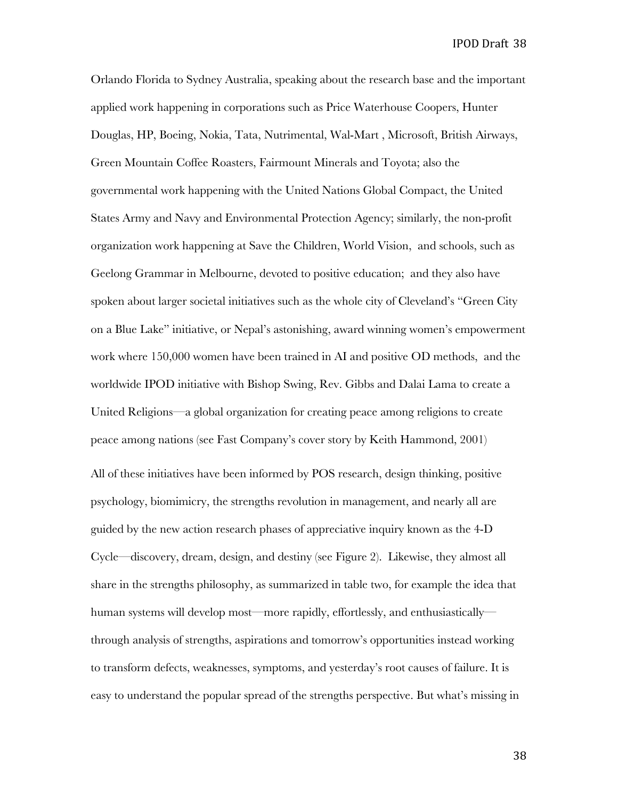Orlando Florida to Sydney Australia, speaking about the research base and the important applied work happening in corporations such as Price Waterhouse Coopers, Hunter Douglas, HP, Boeing, Nokia, Tata, Nutrimental, Wal-Mart , Microsoft, British Airways, Green Mountain Coffee Roasters, Fairmount Minerals and Toyota; also the governmental work happening with the United Nations Global Compact, the United States Army and Navy and Environmental Protection Agency; similarly, the non-profit organization work happening at Save the Children, World Vision, and schools, such as Geelong Grammar in Melbourne, devoted to positive education; and they also have spoken about larger societal initiatives such as the whole city of Cleveland's "Green City on a Blue Lake" initiative, or Nepal's astonishing, award winning women's empowerment work where 150,000 women have been trained in AI and positive OD methods, and the worldwide IPOD initiative with Bishop Swing, Rev. Gibbs and Dalai Lama to create a United Religions—a global organization for creating peace among religions to create peace among nations (see Fast Company's cover story by Keith Hammond, 2001) All of these initiatives have been informed by POS research, design thinking, positive psychology, biomimicry, the strengths revolution in management, and nearly all are guided by the new action research phases of appreciative inquiry known as the 4-D Cycle—discovery, dream, design, and destiny (see Figure 2). Likewise, they almost all share in the strengths philosophy, as summarized in table two, for example the idea that human systems will develop most—more rapidly, effortlessly, and enthusiastically through analysis of strengths, aspirations and tomorrow's opportunities instead working to transform defects, weaknesses, symptoms, and yesterday's root causes of failure. It is easy to understand the popular spread of the strengths perspective. But what's missing in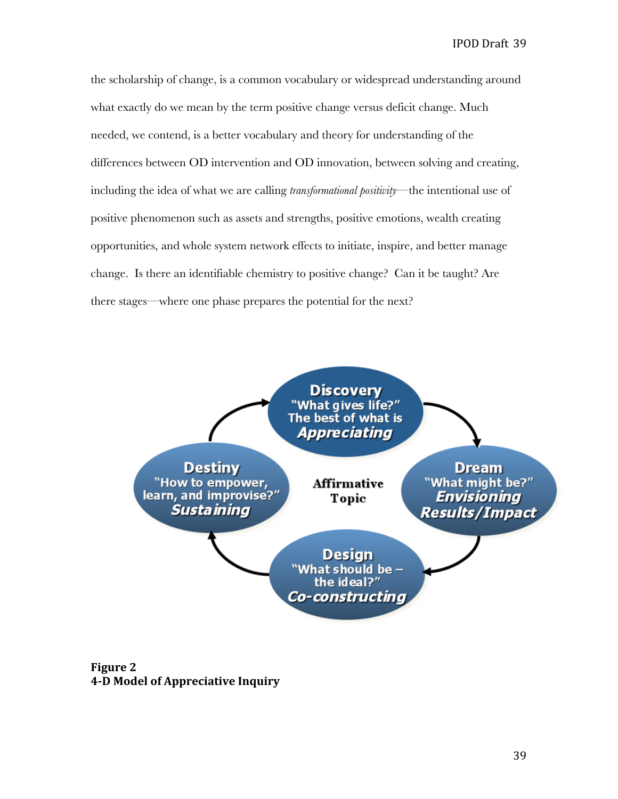the scholarship of change, is a common vocabulary or widespread understanding around what exactly do we mean by the term positive change versus deficit change. Much needed, we contend, is a better vocabulary and theory for understanding of the differences between OD intervention and OD innovation, between solving and creating, including the idea of what we are calling *transformational positivity*—the intentional use of positive phenomenon such as assets and strengths, positive emotions, wealth creating opportunities, and whole system network effects to initiate, inspire, and better manage change. Is there an identifiable chemistry to positive change? Can it be taught? Are there stages—where one phase prepares the potential for the next?



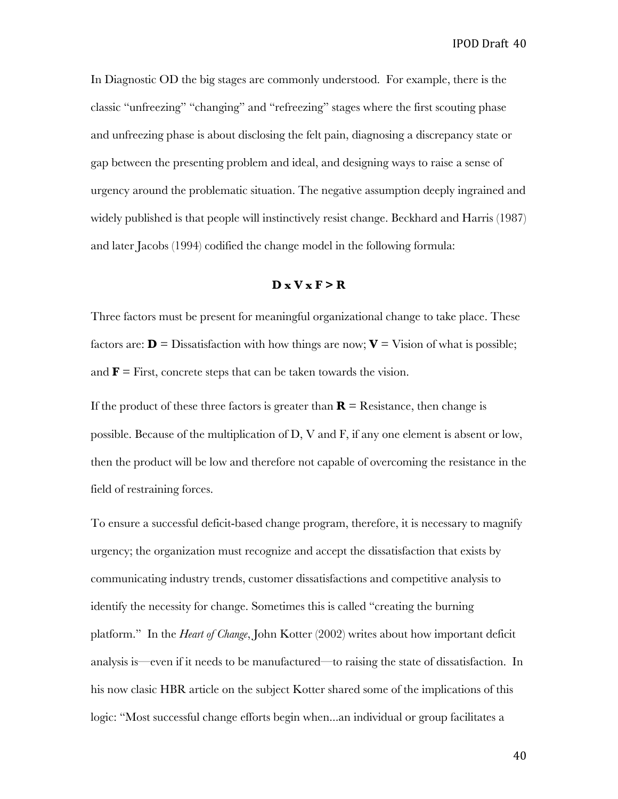In Diagnostic OD the big stages are commonly understood. For example, there is the classic "unfreezing" "changing" and "refreezing" stages where the first scouting phase and unfreezing phase is about disclosing the felt pain, diagnosing a discrepancy state or gap between the presenting problem and ideal, and designing ways to raise a sense of urgency around the problematic situation. The negative assumption deeply ingrained and widely published is that people will instinctively resist change. Beckhard and Harris (1987) and later Jacobs (1994) codified the change model in the following formula:

# $D x V x F > R$

Three factors must be present for meaningful organizational change to take place. These factors are:  $\mathbf{D} = \text{Dissatification with how things are now; } \mathbf{V} = \text{Vision of what is possible; }$ and  $\mathbf{F}$  = First, concrete steps that can be taken towards the vision.

If the product of these three factors is greater than  $\mathbf{R} =$  Resistance, then change is possible. Because of the multiplication of D, V and F, if any one element is absent or low, then the product will be low and therefore not capable of overcoming the resistance in the field of restraining forces.

To ensure a successful deficit-based change program, therefore, it is necessary to magnify urgency; the organization must recognize and accept the dissatisfaction that exists by communicating industry trends, customer dissatisfactions and competitive analysis to identify the necessity for change. Sometimes this is called "creating the burning platform." In the *Heart of Change*, John Kotter (2002) writes about how important deficit analysis is—even if it needs to be manufactured—to raising the state of dissatisfaction. In his now clasic HBR article on the subject Kotter shared some of the implications of this logic: "Most successful change efforts begin when...an individual or group facilitates a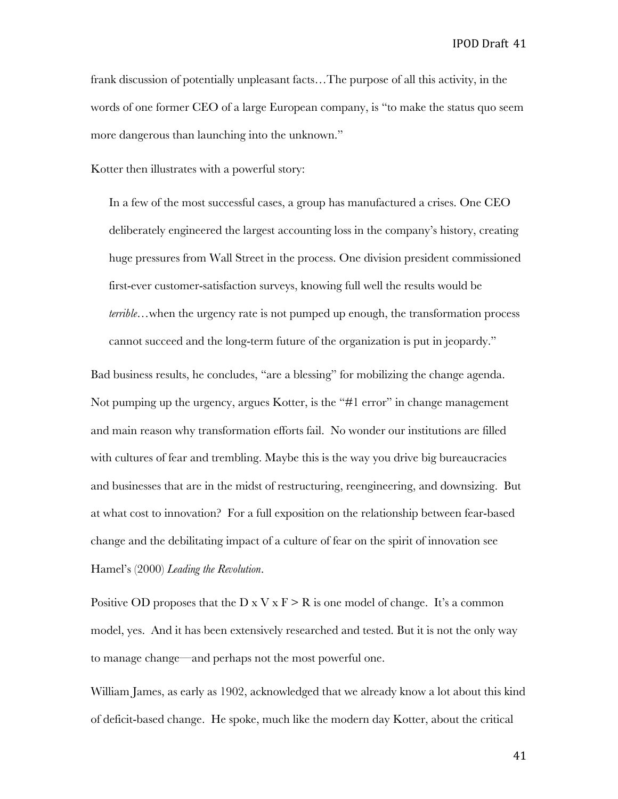frank discussion of potentially unpleasant facts…The purpose of all this activity, in the words of one former CEO of a large European company, is "to make the status quo seem more dangerous than launching into the unknown."

Kotter then illustrates with a powerful story:

In a few of the most successful cases, a group has manufactured a crises. One CEO deliberately engineered the largest accounting loss in the company's history, creating huge pressures from Wall Street in the process. One division president commissioned first-ever customer-satisfaction surveys, knowing full well the results would be *terrible…*when the urgency rate is not pumped up enough, the transformation process cannot succeed and the long-term future of the organization is put in jeopardy."

Bad business results, he concludes, "are a blessing" for mobilizing the change agenda. Not pumping up the urgency, argues Kotter, is the "#1 error" in change management and main reason why transformation efforts fail. No wonder our institutions are filled with cultures of fear and trembling. Maybe this is the way you drive big bureaucracies and businesses that are in the midst of restructuring, reengineering, and downsizing. But at what cost to innovation? For a full exposition on the relationship between fear-based change and the debilitating impact of a culture of fear on the spirit of innovation see Hamel's (2000) *Leading the Revolution*.

Positive OD proposes that the D x V x  $F > R$  is one model of change. It's a common model, yes. And it has been extensively researched and tested. But it is not the only way to manage change—and perhaps not the most powerful one.

William James, as early as 1902, acknowledged that we already know a lot about this kind of deficit-based change. He spoke, much like the modern day Kotter, about the critical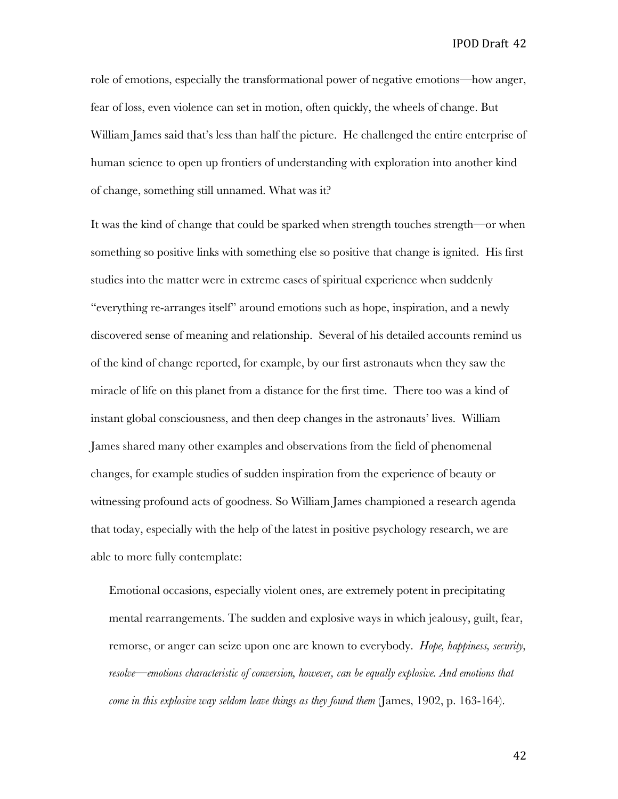role of emotions, especially the transformational power of negative emotions—how anger, fear of loss, even violence can set in motion, often quickly, the wheels of change. But William James said that's less than half the picture. He challenged the entire enterprise of human science to open up frontiers of understanding with exploration into another kind of change, something still unnamed. What was it?

It was the kind of change that could be sparked when strength touches strength—or when something so positive links with something else so positive that change is ignited. His first studies into the matter were in extreme cases of spiritual experience when suddenly "everything re-arranges itself" around emotions such as hope, inspiration, and a newly discovered sense of meaning and relationship. Several of his detailed accounts remind us of the kind of change reported, for example, by our first astronauts when they saw the miracle of life on this planet from a distance for the first time. There too was a kind of instant global consciousness, and then deep changes in the astronauts' lives. William James shared many other examples and observations from the field of phenomenal changes, for example studies of sudden inspiration from the experience of beauty or witnessing profound acts of goodness. So William James championed a research agenda that today, especially with the help of the latest in positive psychology research, we are able to more fully contemplate:

Emotional occasions, especially violent ones, are extremely potent in precipitating mental rearrangements. The sudden and explosive ways in which jealousy, guilt, fear, remorse, or anger can seize upon one are known to everybody. *Hope, happiness, security, resolve—emotions characteristic of conversion, however, can be equally explosive. And emotions that come in this explosive way seldom leave things as they found them* (James, 1902, p. 163-164).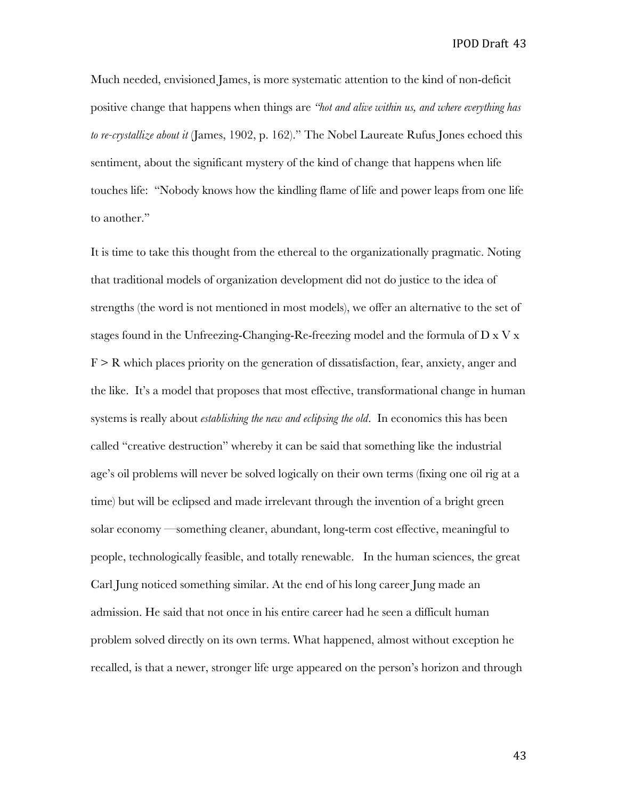Much needed, envisioned James, is more systematic attention to the kind of non-deficit positive change that happens when things are *"hot and alive within us, and where everything has to re-crystallize about it* (James, 1902, p. 162)." The Nobel Laureate Rufus Jones echoed this sentiment, about the significant mystery of the kind of change that happens when life touches life: "Nobody knows how the kindling flame of life and power leaps from one life to another."

It is time to take this thought from the ethereal to the organizationally pragmatic. Noting that traditional models of organization development did not do justice to the idea of strengths (the word is not mentioned in most models), we offer an alternative to the set of stages found in the Unfreezing-Changing-Re-freezing model and the formula of  $D \times V \times$  $F \ge R$  which places priority on the generation of dissatisfaction, fear, anxiety, anger and the like. It's a model that proposes that most effective, transformational change in human systems is really about *establishing the new and eclipsing the old*. In economics this has been called "creative destruction" whereby it can be said that something like the industrial age's oil problems will never be solved logically on their own terms (fixing one oil rig at a time) but will be eclipsed and made irrelevant through the invention of a bright green solar economy —something cleaner, abundant, long-term cost effective, meaningful to people, technologically feasible, and totally renewable. In the human sciences, the great Carl Jung noticed something similar. At the end of his long career Jung made an admission. He said that not once in his entire career had he seen a difficult human problem solved directly on its own terms. What happened, almost without exception he recalled, is that a newer, stronger life urge appeared on the person's horizon and through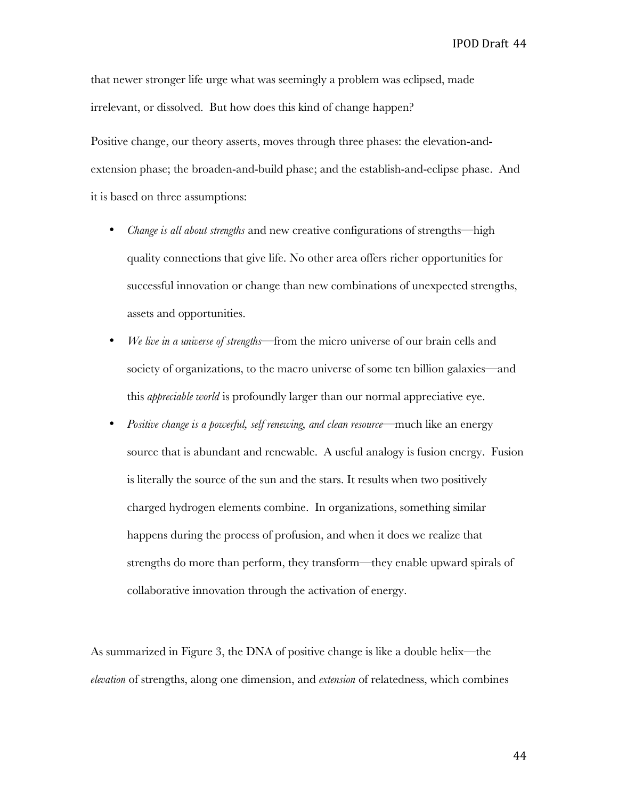that newer stronger life urge what was seemingly a problem was eclipsed, made irrelevant, or dissolved. But how does this kind of change happen?

Positive change, our theory asserts, moves through three phases: the elevation-andextension phase; the broaden-and-build phase; and the establish-and-eclipse phase. And it is based on three assumptions:

- *Change is all about strengths* and new creative configurations of strengths—high quality connections that give life. No other area offers richer opportunities for successful innovation or change than new combinations of unexpected strengths, assets and opportunities.
- *We live in a universe of strengths*—from the micro universe of our brain cells and society of organizations, to the macro universe of some ten billion galaxies—and this *appreciable world* is profoundly larger than our normal appreciative eye.
- *Positive change is a powerful, self renewing, and clean resource*—much like an energy source that is abundant and renewable. A useful analogy is fusion energy. Fusion is literally the source of the sun and the stars. It results when two positively charged hydrogen elements combine. In organizations, something similar happens during the process of profusion, and when it does we realize that strengths do more than perform, they transform—they enable upward spirals of collaborative innovation through the activation of energy.

As summarized in Figure 3, the DNA of positive change is like a double helix—the *elevation* of strengths, along one dimension, and *extension* of relatedness, which combines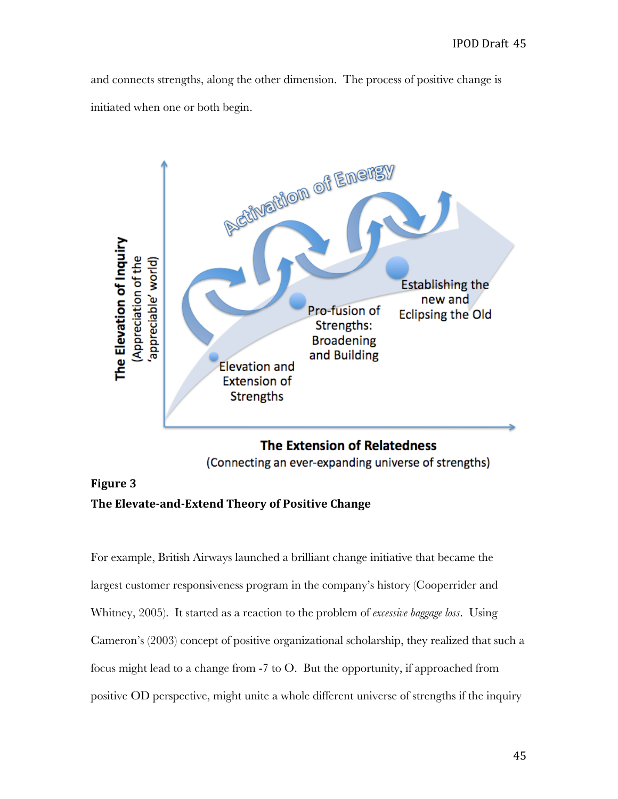and connects strengths, along the other dimension. The process of positive change is initiated when one or both begin.



# **The Extension of Relatedness**

(Connecting an ever-expanding universe of strengths)

# **Figure
3** The Elevate-and-Extend Theory of Positive Change

For example, British Airways launched a brilliant change initiative that became the largest customer responsiveness program in the company's history (Cooperrider and Whitney, 2005). It started as a reaction to the problem of *excessive baggage loss*. Using Cameron's (2003) concept of positive organizational scholarship, they realized that such a focus might lead to a change from -7 to O. But the opportunity, if approached from positive OD perspective, might unite a whole different universe of strengths if the inquiry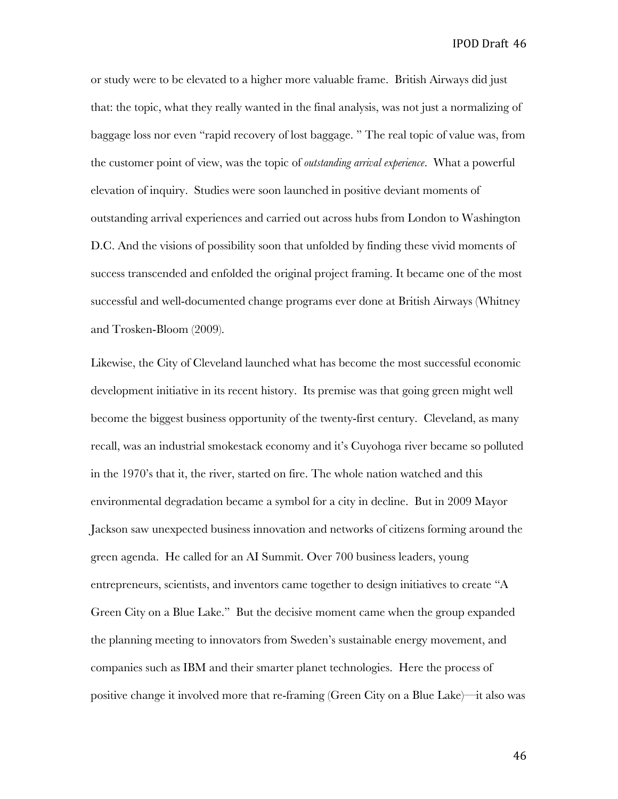or study were to be elevated to a higher more valuable frame. British Airways did just that: the topic, what they really wanted in the final analysis, was not just a normalizing of baggage loss nor even "rapid recovery of lost baggage. " The real topic of value was, from the customer point of view, was the topic of *outstanding arrival experience*. What a powerful elevation of inquiry. Studies were soon launched in positive deviant moments of outstanding arrival experiences and carried out across hubs from London to Washington D.C. And the visions of possibility soon that unfolded by finding these vivid moments of success transcended and enfolded the original project framing. It became one of the most successful and well-documented change programs ever done at British Airways (Whitney and Trosken-Bloom (2009).

Likewise, the City of Cleveland launched what has become the most successful economic development initiative in its recent history. Its premise was that going green might well become the biggest business opportunity of the twenty-first century. Cleveland, as many recall, was an industrial smokestack economy and it's Cuyohoga river became so polluted in the 1970's that it, the river, started on fire. The whole nation watched and this environmental degradation became a symbol for a city in decline. But in 2009 Mayor Jackson saw unexpected business innovation and networks of citizens forming around the green agenda. He called for an AI Summit. Over 700 business leaders, young entrepreneurs, scientists, and inventors came together to design initiatives to create "A Green City on a Blue Lake." But the decisive moment came when the group expanded the planning meeting to innovators from Sweden's sustainable energy movement, and companies such as IBM and their smarter planet technologies. Here the process of positive change it involved more that re-framing (Green City on a Blue Lake)—it also was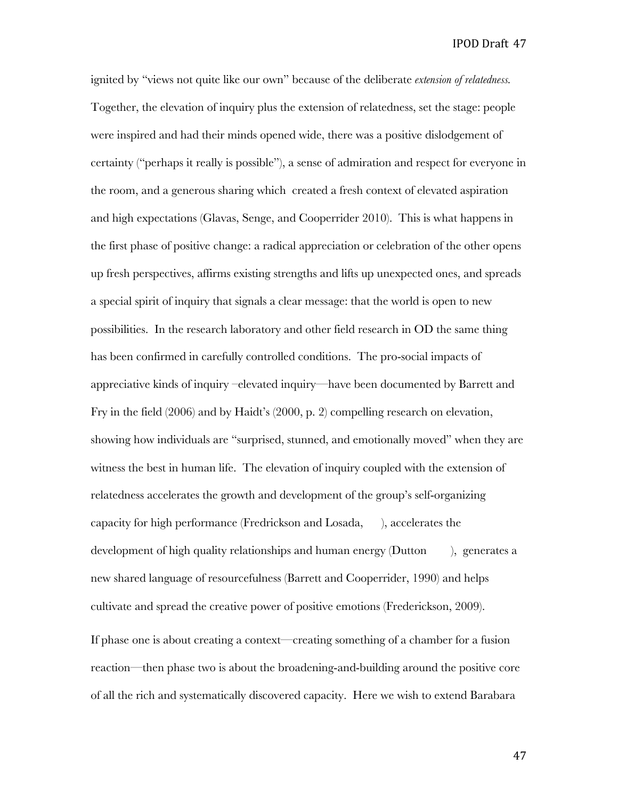ignited by "views not quite like our own" because of the deliberate *extension of relatedness.* Together, the elevation of inquiry plus the extension of relatedness, set the stage: people were inspired and had their minds opened wide, there was a positive dislodgement of certainty ("perhaps it really is possible"), a sense of admiration and respect for everyone in the room, and a generous sharing which created a fresh context of elevated aspiration and high expectations (Glavas, Senge, and Cooperrider 2010). This is what happens in the first phase of positive change: a radical appreciation or celebration of the other opens up fresh perspectives, affirms existing strengths and lifts up unexpected ones, and spreads a special spirit of inquiry that signals a clear message: that the world is open to new possibilities. In the research laboratory and other field research in OD the same thing has been confirmed in carefully controlled conditions. The pro-social impacts of appreciative kinds of inquiry –elevated inquiry—have been documented by Barrett and Fry in the field (2006) and by Haidt's (2000, p. 2) compelling research on elevation, showing how individuals are "surprised, stunned, and emotionally moved" when they are witness the best in human life. The elevation of inquiry coupled with the extension of relatedness accelerates the growth and development of the group's self-organizing capacity for high performance (Fredrickson and Losada, ), accelerates the development of high quality relationships and human energy (Dutton ), generates a new shared language of resourcefulness (Barrett and Cooperrider, 1990) and helps cultivate and spread the creative power of positive emotions (Frederickson, 2009).

If phase one is about creating a context—creating something of a chamber for a fusion reaction—then phase two is about the broadening-and-building around the positive core of all the rich and systematically discovered capacity. Here we wish to extend Barabara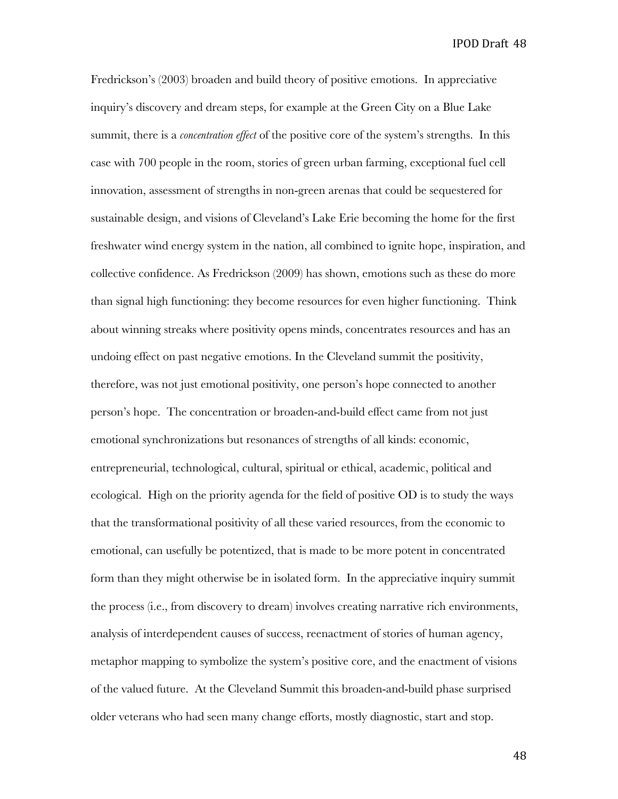Fredrickson's (2003) broaden and build theory of positive emotions. In appreciative inquiry's discovery and dream steps, for example at the Green City on a Blue Lake summit, there is a *concentration effect* of the positive core of the system's strengths. In this case with 700 people in the room, stories of green urban farming, exceptional fuel cell innovation, assessment of strengths in non-green arenas that could be sequestered for sustainable design, and visions of Cleveland's Lake Erie becoming the home for the first freshwater wind energy system in the nation, all combined to ignite hope, inspiration, and collective confidence. As Fredrickson (2009) has shown, emotions such as these do more than signal high functioning: they become resources for even higher functioning. Think about winning streaks where positivity opens minds, concentrates resources and has an undoing effect on past negative emotions. In the Cleveland summit the positivity, therefore, was not just emotional positivity, one person's hope connected to another person's hope. The concentration or broaden-and-build effect came from not just emotional synchronizations but resonances of strengths of all kinds: economic, entrepreneurial, technological, cultural, spiritual or ethical, academic, political and ecological. High on the priority agenda for the field of positive OD is to study the ways that the transformational positivity of all these varied resources, from the economic to emotional, can usefully be potentized, that is made to be more potent in concentrated form than they might otherwise be in isolated form. In the appreciative inquiry summit the process (i.e., from discovery to dream) involves creating narrative rich environments, analysis of interdependent causes of success, reenactment of stories of human agency, metaphor mapping to symbolize the system's positive core, and the enactment of visions of the valued future. At the Cleveland Summit this broaden-and-build phase surprised older veterans who had seen many change efforts, mostly diagnostic, start and stop.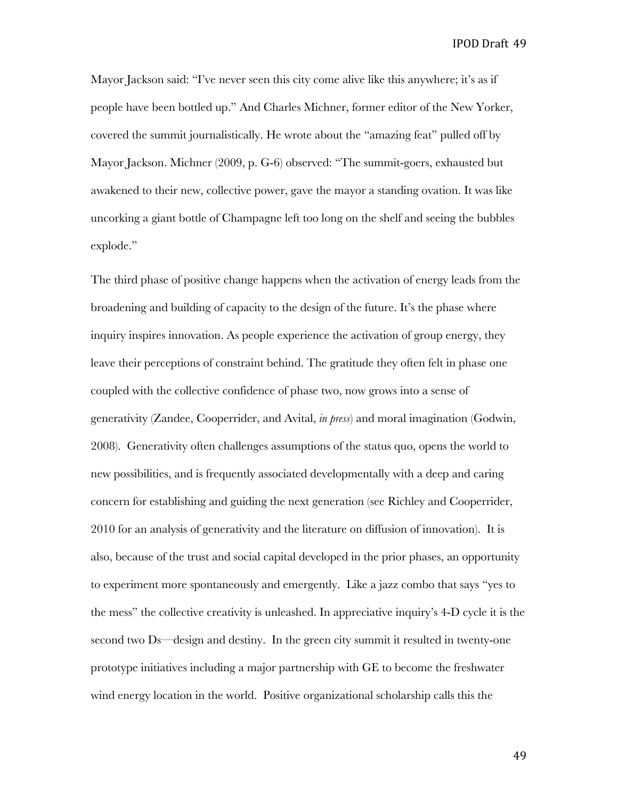Mayor Jackson said: "I've never seen this city come alive like this anywhere; it's as if people have been bottled up." And Charles Michner, former editor of the New Yorker, covered the summit journalistically. He wrote about the "amazing feat" pulled off by Mayor Jackson. Michner (2009, p. G-6) observed: "The summit-goers, exhausted but awakened to their new, collective power, gave the mayor a standing ovation. It was like uncorking a giant bottle of Champagne left too long on the shelf and seeing the bubbles explode."

The third phase of positive change happens when the activation of energy leads from the broadening and building of capacity to the design of the future. It's the phase where inquiry inspires innovation. As people experience the activation of group energy, they leave their perceptions of constraint behind. The gratitude they often felt in phase one coupled with the collective confidence of phase two, now grows into a sense of generativity (Zandee, Cooperrider, and Avital, *in press*) and moral imagination (Godwin, 2008). Generativity often challenges assumptions of the status quo, opens the world to new possibilities, and is frequently associated developmentally with a deep and caring concern for establishing and guiding the next generation (see Richley and Cooperrider, 2010 for an analysis of generativity and the literature on diffusion of innovation). It is also, because of the trust and social capital developed in the prior phases, an opportunity to experiment more spontaneously and emergently. Like a jazz combo that says "yes to the mess" the collective creativity is unleashed. In appreciative inquiry's 4-D cycle it is the second two Ds—design and destiny. In the green city summit it resulted in twenty-one prototype initiatives including a major partnership with GE to become the freshwater wind energy location in the world. Positive organizational scholarship calls this the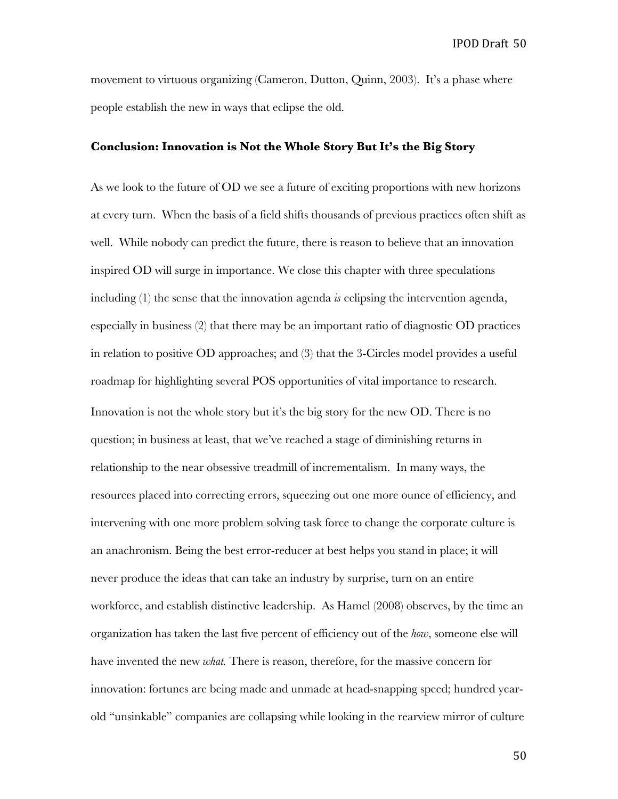movement to virtuous organizing (Cameron, Dutton, Quinn, 2003). It's a phase where people establish the new in ways that eclipse the old.

#### **Conclusion: Innovation is Not the Whole Story But It's the Big Story**

As we look to the future of OD we see a future of exciting proportions with new horizons at every turn. When the basis of a field shifts thousands of previous practices often shift as well. While nobody can predict the future, there is reason to believe that an innovation inspired OD will surge in importance. We close this chapter with three speculations including (1) the sense that the innovation agenda *is* eclipsing the intervention agenda, especially in business (2) that there may be an important ratio of diagnostic OD practices in relation to positive OD approaches; and (3) that the 3-Circles model provides a useful roadmap for highlighting several POS opportunities of vital importance to research. Innovation is not the whole story but it's the big story for the new OD. There is no question; in business at least, that we've reached a stage of diminishing returns in relationship to the near obsessive treadmill of incrementalism. In many ways, the resources placed into correcting errors, squeezing out one more ounce of efficiency, and intervening with one more problem solving task force to change the corporate culture is an anachronism. Being the best error-reducer at best helps you stand in place; it will never produce the ideas that can take an industry by surprise, turn on an entire workforce, and establish distinctive leadership. As Hamel (2008) observes, by the time an organization has taken the last five percent of efficiency out of the *how*, someone else will have invented the new *what.* There is reason, therefore, for the massive concern for innovation: fortunes are being made and unmade at head-snapping speed; hundred yearold "unsinkable" companies are collapsing while looking in the rearview mirror of culture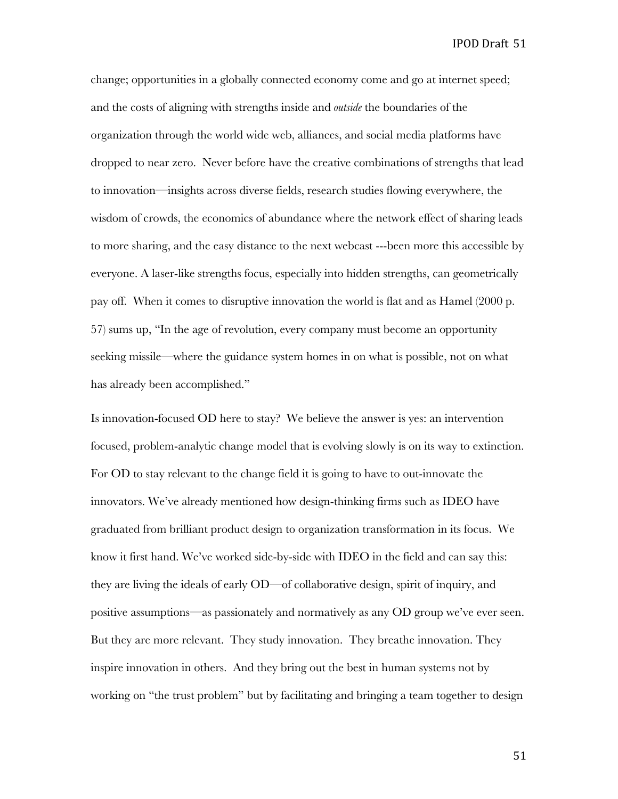change; opportunities in a globally connected economy come and go at internet speed; and the costs of aligning with strengths inside and *outside* the boundaries of the organization through the world wide web, alliances, and social media platforms have dropped to near zero. Never before have the creative combinations of strengths that lead to innovation—insights across diverse fields, research studies flowing everywhere, the wisdom of crowds, the economics of abundance where the network effect of sharing leads to more sharing, and the easy distance to the next webcast ---been more this accessible by everyone. A laser-like strengths focus, especially into hidden strengths, can geometrically pay off. When it comes to disruptive innovation the world is flat and as Hamel (2000 p. 57) sums up, "In the age of revolution, every company must become an opportunity seeking missile—where the guidance system homes in on what is possible, not on what has already been accomplished."

Is innovation-focused OD here to stay? We believe the answer is yes: an intervention focused, problem-analytic change model that is evolving slowly is on its way to extinction. For OD to stay relevant to the change field it is going to have to out-innovate the innovators. We've already mentioned how design-thinking firms such as IDEO have graduated from brilliant product design to organization transformation in its focus. We know it first hand. We've worked side-by-side with IDEO in the field and can say this: they are living the ideals of early OD—of collaborative design, spirit of inquiry, and positive assumptions—as passionately and normatively as any OD group we've ever seen. But they are more relevant. They study innovation. They breathe innovation. They inspire innovation in others. And they bring out the best in human systems not by working on "the trust problem" but by facilitating and bringing a team together to design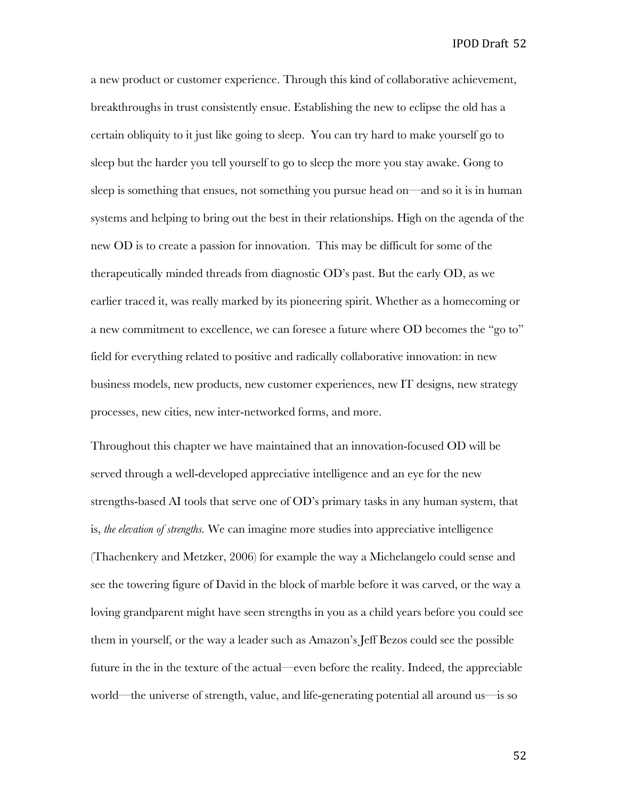a new product or customer experience. Through this kind of collaborative achievement, breakthroughs in trust consistently ensue. Establishing the new to eclipse the old has a certain obliquity to it just like going to sleep. You can try hard to make yourself go to sleep but the harder you tell yourself to go to sleep the more you stay awake. Gong to sleep is something that ensues, not something you pursue head on—and so it is in human systems and helping to bring out the best in their relationships. High on the agenda of the new OD is to create a passion for innovation. This may be difficult for some of the therapeutically minded threads from diagnostic OD's past. But the early OD, as we earlier traced it, was really marked by its pioneering spirit. Whether as a homecoming or a new commitment to excellence, we can foresee a future where OD becomes the "go to" field for everything related to positive and radically collaborative innovation: in new business models, new products, new customer experiences, new IT designs, new strategy processes, new cities, new inter-networked forms, and more.

Throughout this chapter we have maintained that an innovation-focused OD will be served through a well-developed appreciative intelligence and an eye for the new strengths-based AI tools that serve one of OD's primary tasks in any human system, that is, *the elevation of strengths.* We can imagine more studies into appreciative intelligence (Thachenkery and Metzker, 2006) for example the way a Michelangelo could sense and see the towering figure of David in the block of marble before it was carved, or the way a loving grandparent might have seen strengths in you as a child years before you could see them in yourself, or the way a leader such as Amazon's Jeff Bezos could see the possible future in the in the texture of the actual—even before the reality. Indeed, the appreciable world—the universe of strength, value, and life-generating potential all around us—is so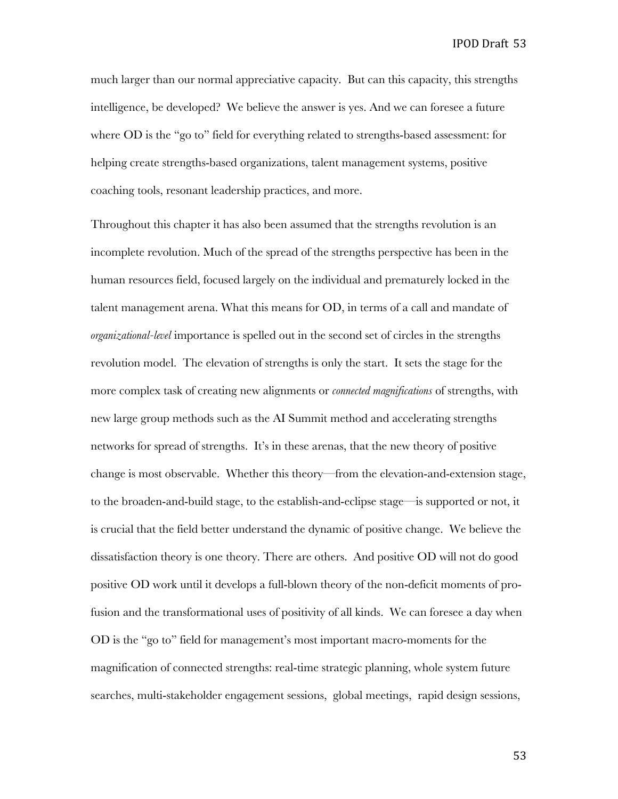much larger than our normal appreciative capacity. But can this capacity, this strengths intelligence, be developed? We believe the answer is yes. And we can foresee a future where OD is the "go to" field for everything related to strengths-based assessment: for helping create strengths-based organizations, talent management systems, positive coaching tools, resonant leadership practices, and more.

Throughout this chapter it has also been assumed that the strengths revolution is an incomplete revolution. Much of the spread of the strengths perspective has been in the human resources field, focused largely on the individual and prematurely locked in the talent management arena. What this means for OD, in terms of a call and mandate of *organizational-level* importance is spelled out in the second set of circles in the strengths revolution model. The elevation of strengths is only the start. It sets the stage for the more complex task of creating new alignments or *connected magnifications* of strengths, with new large group methods such as the AI Summit method and accelerating strengths networks for spread of strengths. It's in these arenas, that the new theory of positive change is most observable. Whether this theory—from the elevation-and-extension stage, to the broaden-and-build stage, to the establish-and-eclipse stage—is supported or not, it is crucial that the field better understand the dynamic of positive change. We believe the dissatisfaction theory is one theory. There are others. And positive OD will not do good positive OD work until it develops a full-blown theory of the non-deficit moments of profusion and the transformational uses of positivity of all kinds. We can foresee a day when OD is the "go to" field for management's most important macro-moments for the magnification of connected strengths: real-time strategic planning, whole system future searches, multi-stakeholder engagement sessions, global meetings, rapid design sessions,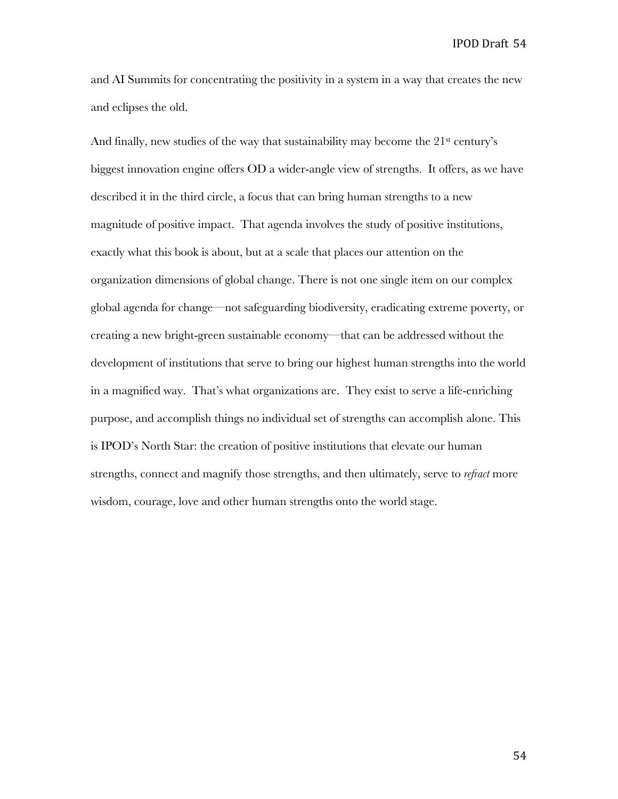and AI Summits for concentrating the positivity in a system in a way that creates the new and eclipses the old.

And finally, new studies of the way that sustainability may become the 21<sup>st</sup> century's biggest innovation engine offers OD a wider-angle view of strengths. It offers, as we have described it in the third circle, a focus that can bring human strengths to a new magnitude of positive impact. That agenda involves the study of positive institutions, exactly what this book is about, but at a scale that places our attention on the organization dimensions of global change. There is not one single item on our complex global agenda for change—not safeguarding biodiversity, eradicating extreme poverty, or creating a new bright-green sustainable economy—that can be addressed without the development of institutions that serve to bring our highest human strengths into the world in a magnified way. That's what organizations are. They exist to serve a life-enriching purpose, and accomplish things no individual set of strengths can accomplish alone. This is IPOD's North Star: the creation of positive institutions that elevate our human strengths, connect and magnify those strengths, and then ultimately, serve to *refract* more wisdom, courage, love and other human strengths onto the world stage.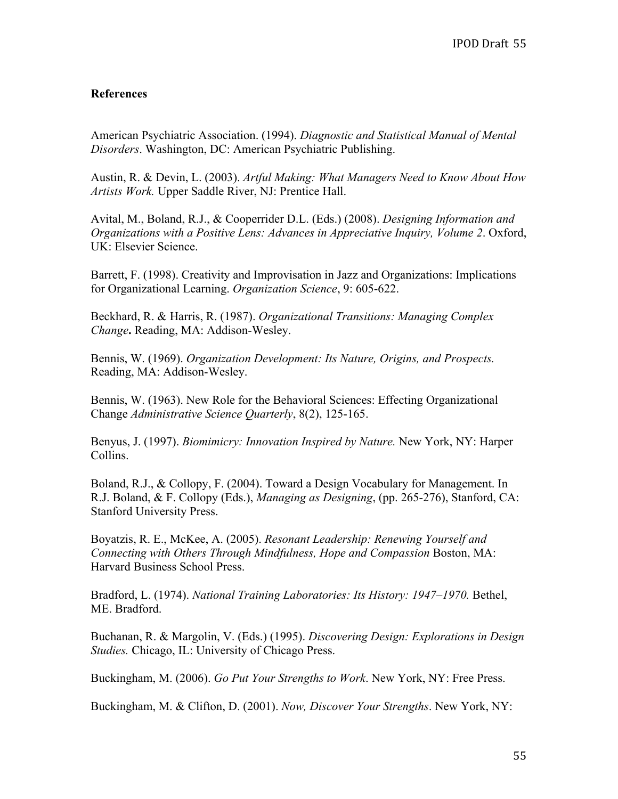# **References**

American Psychiatric Association. (1994). *Diagnostic and Statistical Manual of Mental Disorders*. Washington, DC: American Psychiatric Publishing.

Austin, R. & Devin, L. (2003). *Artful Making: What Managers Need to Know About How Artists Work.* Upper Saddle River, NJ: Prentice Hall.

Avital, M., Boland, R.J., & Cooperrider D.L. (Eds.) (2008). *Designing Information and Organizations with a Positive Lens: Advances in Appreciative Inquiry, Volume 2*. Oxford, UK: Elsevier Science.

Barrett, F. (1998). Creativity and Improvisation in Jazz and Organizations: Implications for Organizational Learning. *Organization Science*, 9: 605-622.

Beckhard, R. & Harris, R. (1987). *Organizational Transitions: Managing Complex Change***.** Reading, MA: Addison-Wesley.

Bennis, W. (1969). *Organization Development: Its Nature, Origins, and Prospects.* Reading, MA: Addison-Wesley.

Bennis, W. (1963). New Role for the Behavioral Sciences: Effecting Organizational Change *Administrative Science Quarterly*, 8(2), 125-165.

Benyus, J. (1997). *Biomimicry: Innovation Inspired by Nature.* New York, NY: Harper Collins.

Boland, R.J., & Collopy, F. (2004). Toward a Design Vocabulary for Management. In R.J. Boland, & F. Collopy (Eds.), *Managing as Designing*, (pp. 265-276), Stanford, CA: Stanford University Press.

Boyatzis, R. E., McKee, A. (2005). *Resonant Leadership: Renewing Yourself and Connecting with Others Through Mindfulness, Hope and Compassion* Boston, MA: Harvard Business School Press.

Bradford, L. (1974). *National Training Laboratories: Its History: 1947–1970.* Bethel, ME. Bradford.

Buchanan, R. & Margolin, V. (Eds.) (1995). *Discovering Design: Explorations in Design Studies.* Chicago, IL: University of Chicago Press.

Buckingham, M. (2006). *Go Put Your Strengths to Work*. New York, NY: Free Press.

Buckingham, M. & Clifton, D. (2001). *Now, Discover Your Strengths*. New York, NY: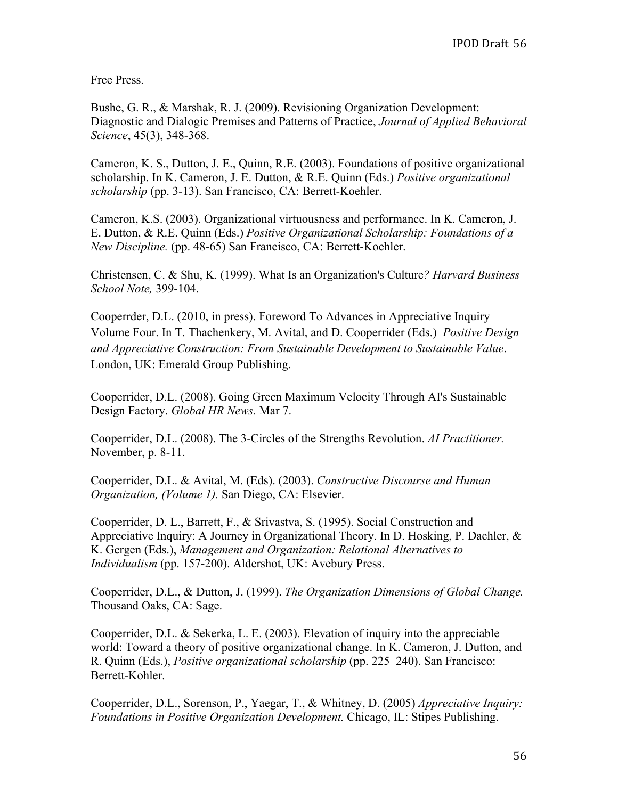Free Press.

Bushe, G. R., & Marshak, R. J. (2009). Revisioning Organization Development: Diagnostic and Dialogic Premises and Patterns of Practice, *Journal of Applied Behavioral Science*, 45(3), 348-368.

Cameron, K. S., Dutton, J. E., Quinn, R.E. (2003). Foundations of positive organizational scholarship. In K. Cameron, J. E. Dutton, & R.E. Quinn (Eds.) *Positive organizational scholarship* (pp. 3-13). San Francisco, CA: Berrett-Koehler.

Cameron, K.S. (2003). Organizational virtuousness and performance. In K. Cameron, J. E. Dutton, & R.E. Quinn (Eds.) *Positive Organizational Scholarship: Foundations of a New Discipline.* (pp. 48-65) San Francisco, CA: Berrett-Koehler.

Christensen, C. & Shu, K. (1999). What Is an Organization's Culture*? Harvard Business School Note,* 399-104.

Cooperrder, D.L. (2010, in press). Foreword To Advances in Appreciative Inquiry Volume Four. In T. Thachenkery, M. Avital, and D. Cooperrider (Eds.) *Positive Design and Appreciative Construction: From Sustainable Development to Sustainable Value*. London, UK: Emerald Group Publishing.

Cooperrider, D.L. (2008). Going Green Maximum Velocity Through AI's Sustainable Design Factory. *Global HR News.* Mar 7.

Cooperrider, D.L. (2008). The 3-Circles of the Strengths Revolution. *AI Practitioner.*  November, p. 8-11.

Cooperrider, D.L. & Avital, M. (Eds). (2003). *Constructive Discourse and Human Organization, (Volume 1).* San Diego, CA: Elsevier.

Cooperrider, D. L., Barrett, F., & Srivastva, S. (1995). Social Construction and Appreciative Inquiry: A Journey in Organizational Theory. In D. Hosking, P. Dachler, & K. Gergen (Eds.), *Management and Organization: Relational Alternatives to Individualism* (pp. 157-200). Aldershot, UK: Avebury Press.

Cooperrider, D.L., & Dutton, J. (1999). *The Organization Dimensions of Global Change.* Thousand Oaks, CA: Sage.

Cooperrider, D.L. & Sekerka, L. E. (2003). Elevation of inquiry into the appreciable world: Toward a theory of positive organizational change. In K. Cameron, J. Dutton, and R. Quinn (Eds.), *Positive organizational scholarship* (pp. 225–240). San Francisco: Berrett-Kohler.

Cooperrider, D.L., Sorenson, P., Yaegar, T., & Whitney, D. (2005) *Appreciative Inquiry: Foundations in Positive Organization Development.* Chicago, IL: Stipes Publishing.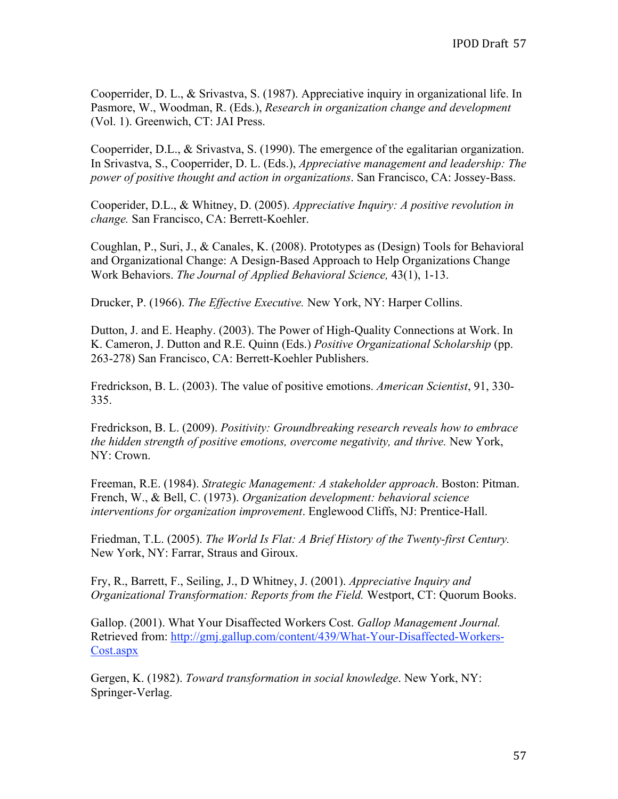Cooperrider, D. L., & Srivastva, S. (1987). Appreciative inquiry in organizational life. In Pasmore, W., Woodman, R. (Eds.), *Research in organization change and development* (Vol. 1). Greenwich, CT: JAI Press.

Cooperrider, D.L., & Srivastva, S. (1990). The emergence of the egalitarian organization. In Srivastva, S., Cooperrider, D. L. (Eds.), *Appreciative management and leadership: The power of positive thought and action in organizations*. San Francisco, CA: Jossey-Bass.

Cooperider, D.L., & Whitney, D. (2005). *Appreciative Inquiry: A positive revolution in change.* San Francisco, CA: Berrett-Koehler.

Coughlan, P., Suri, J., & Canales, K. (2008). Prototypes as (Design) Tools for Behavioral and Organizational Change: A Design-Based Approach to Help Organizations Change Work Behaviors. *The Journal of Applied Behavioral Science,* 43(1), 1-13.

Drucker, P. (1966). *The Effective Executive.* New York, NY: Harper Collins.

Dutton, J. and E. Heaphy. (2003). The Power of High-Quality Connections at Work. In K. Cameron, J. Dutton and R.E. Quinn (Eds.) *Positive Organizational Scholarship* (pp. 263-278) San Francisco, CA: Berrett-Koehler Publishers.

Fredrickson, B. L. (2003). The value of positive emotions. *American Scientist*, 91, 330- 335.

Fredrickson, B. L. (2009). *Positivity: Groundbreaking research reveals how to embrace the hidden strength of positive emotions, overcome negativity, and thrive.* New York, NY: Crown.

Freeman, R.E. (1984). *Strategic Management: A stakeholder approach*. Boston: Pitman. French, W., & Bell, C. (1973). *Organization development: behavioral science interventions for organization improvement*. Englewood Cliffs, NJ: Prentice-Hall.

Friedman, T.L. (2005). *The World Is Flat: A Brief History of the Twenty-first Century.*  New York, NY: Farrar, Straus and Giroux.

Fry, R., Barrett, F., Seiling, J., D Whitney, J. (2001). *Appreciative Inquiry and Organizational Transformation: Reports from the Field.* Westport, CT: Quorum Books.

Gallop. (2001). What Your Disaffected Workers Cost. *Gallop Management Journal.*  Retrieved from: http://gmj.gallup.com/content/439/What-Your-Disaffected-Workers-Cost.aspx

Gergen, K. (1982). *Toward transformation in social knowledge*. New York, NY: Springer-Verlag.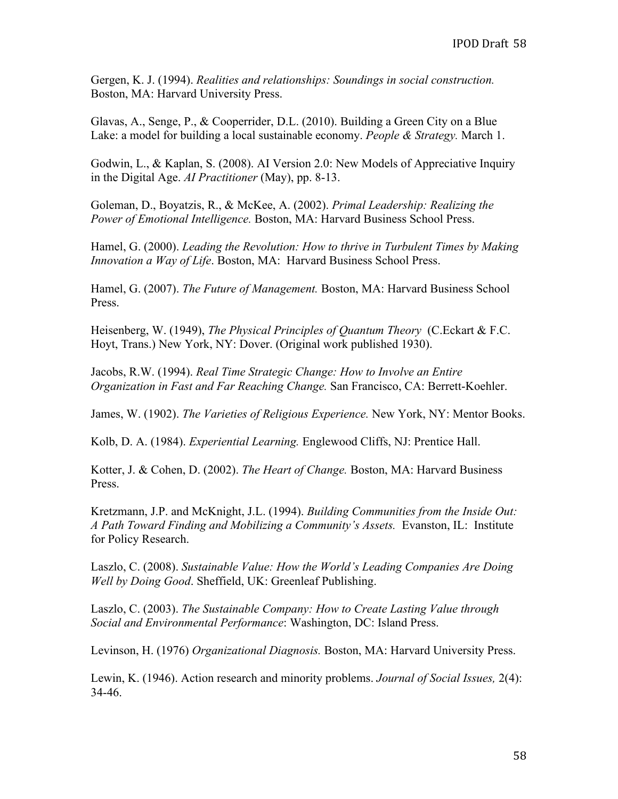Gergen, K. J. (1994). *Realities and relationships: Soundings in social construction.*  Boston, MA: Harvard University Press.

Glavas, A., Senge, P., & Cooperrider, D.L. (2010). Building a Green City on a Blue Lake: a model for building a local sustainable economy. *People & Strategy.* March 1.

Godwin, L., & Kaplan, S. (2008). AI Version 2.0: New Models of Appreciative Inquiry in the Digital Age. *AI Practitioner* (May), pp. 8-13.

Goleman, D., Boyatzis, R., & McKee, A. (2002). *Primal Leadership: Realizing the Power of Emotional Intelligence.* Boston, MA: Harvard Business School Press.

Hamel, G. (2000). *Leading the Revolution: How to thrive in Turbulent Times by Making Innovation a Way of Life*. Boston, MA: Harvard Business School Press.

Hamel, G. (2007). *The Future of Management.* Boston, MA: Harvard Business School Press.

Heisenberg, W. (1949), *The Physical Principles of Quantum Theory* (C.Eckart & F.C. Hoyt, Trans.) New York, NY: Dover. (Original work published 1930).

Jacobs, R.W. (1994). *Real Time Strategic Change: How to Involve an Entire Organization in Fast and Far Reaching Change.* San Francisco, CA: Berrett-Koehler.

James, W. (1902). *The Varieties of Religious Experience.* New York, NY: Mentor Books.

Kolb, D. A. (1984). *Experiential Learning.* Englewood Cliffs, NJ: Prentice Hall.

Kotter, J. & Cohen, D. (2002). *The Heart of Change.* Boston, MA: Harvard Business Press.

Kretzmann, J.P. and McKnight, J.L. (1994). *Building Communities from the Inside Out: A Path Toward Finding and Mobilizing a Community's Assets.* Evanston, IL: Institute for Policy Research.

Laszlo, C. (2008). *Sustainable Value: How the World's Leading Companies Are Doing Well by Doing Good*. Sheffield, UK: Greenleaf Publishing.

Laszlo, C. (2003). *The Sustainable Company: How to Create Lasting Value through Social and Environmental Performance*: Washington, DC: Island Press.

Levinson, H. (1976) *Organizational Diagnosis.* Boston, MA: Harvard University Press.

Lewin, K. (1946). Action research and minority problems. *Journal of Social Issues,* 2(4): 34-46.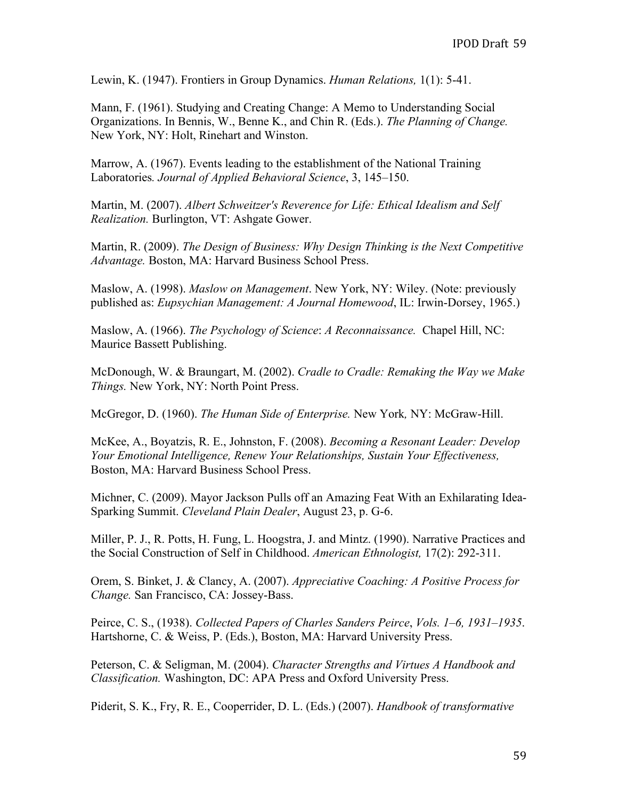Lewin, K. (1947). Frontiers in Group Dynamics. *Human Relations,* 1(1): 5-41.

Mann, F. (1961). Studying and Creating Change: A Memo to Understanding Social Organizations. In Bennis, W., Benne K., and Chin R. (Eds.). *The Planning of Change.*  New York, NY: Holt, Rinehart and Winston.

Marrow, A. (1967). Events leading to the establishment of the National Training Laboratories*. Journal of Applied Behavioral Science*, 3, 145–150.

Martin, M. (2007). *Albert Schweitzer's Reverence for Life: Ethical Idealism and Self Realization.* Burlington, VT: Ashgate Gower.

Martin, R. (2009). *The Design of Business: Why Design Thinking is the Next Competitive Advantage.* Boston, MA: Harvard Business School Press.

Maslow, A. (1998). *Maslow on Management*. New York, NY: Wiley. (Note: previously published as: *Eupsychian Management: A Journal Homewood*, IL: Irwin-Dorsey, 1965.)

Maslow, A. (1966). *The Psychology of Science*: *A Reconnaissance.* Chapel Hill, NC: Maurice Bassett Publishing.

McDonough, W. & Braungart, M. (2002). *Cradle to Cradle: Remaking the Way we Make Things.* New York, NY: North Point Press.

McGregor, D. (1960). *The Human Side of Enterprise.* New York*,* NY: McGraw-Hill.

McKee, A., Boyatzis, R. E., Johnston, F. (2008). *Becoming a Resonant Leader: Develop Your Emotional Intelligence, Renew Your Relationships, Sustain Your Effectiveness,*  Boston, MA: Harvard Business School Press.

Michner, C. (2009). Mayor Jackson Pulls off an Amazing Feat With an Exhilarating Idea-Sparking Summit. *Cleveland Plain Dealer*, August 23, p. G-6.

Miller, P. J., R. Potts, H. Fung, L. Hoogstra, J. and Mintz. (1990). Narrative Practices and the Social Construction of Self in Childhood. *American Ethnologist,* 17(2): 292-311.

Orem, S. Binket, J. & Clancy, A. (2007). *Appreciative Coaching: A Positive Process for Change.* San Francisco, CA: Jossey-Bass.

Peirce, C. S., (1938). *Collected Papers of Charles Sanders Peirce*, *Vols. 1–6, 1931–1935*. Hartshorne, C. & Weiss, P. (Eds.), Boston, MA: Harvard University Press.

Peterson, C. & Seligman, M. (2004). *Character Strengths and Virtues A Handbook and Classification.* Washington, DC: APA Press and Oxford University Press.

Piderit, S. K., Fry, R. E., Cooperrider, D. L. (Eds.) (2007). *Handbook of transformative*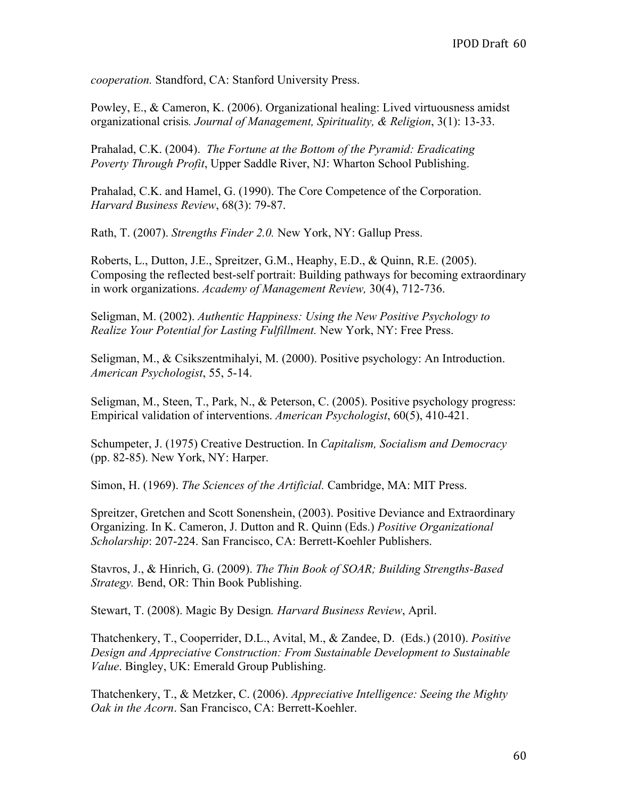*cooperation.* Standford, CA: Stanford University Press.

Powley, E., & Cameron, K. (2006). Organizational healing: Lived virtuousness amidst organizational crisis*. Journal of Management, Spirituality, & Religion*, 3(1): 13-33.

Prahalad, C.K. (2004). *The Fortune at the Bottom of the Pyramid: Eradicating Poverty Through Profit*, Upper Saddle River, NJ: Wharton School Publishing.

Prahalad, C.K. and Hamel, G. (1990). The Core Competence of the Corporation. *Harvard Business Review*, 68(3): 79-87.

Rath, T. (2007). *Strengths Finder 2.0.* New York, NY: Gallup Press.

Roberts, L., Dutton, J.E., Spreitzer, G.M., Heaphy, E.D., & Quinn, R.E. (2005). Composing the reflected best-self portrait: Building pathways for becoming extraordinary in work organizations. *Academy of Management Review,* 30(4), 712-736.

Seligman, M. (2002). *Authentic Happiness: Using the New Positive Psychology to Realize Your Potential for Lasting Fulfillment.* New York, NY: Free Press.

Seligman, M., & Csikszentmihalyi, M. (2000). Positive psychology: An Introduction. *American Psychologist*, 55, 5-14.

Seligman, M., Steen, T., Park, N., & Peterson, C. (2005). Positive psychology progress: Empirical validation of interventions. *American Psychologist*, 60(5), 410-421.

Schumpeter, J. (1975) Creative Destruction. In *Capitalism, Socialism and Democracy* (pp. 82-85). New York, NY: Harper.

Simon, H. (1969). *The Sciences of the Artificial.* Cambridge, MA: MIT Press.

Spreitzer, Gretchen and Scott Sonenshein, (2003). Positive Deviance and Extraordinary Organizing. In K. Cameron, J. Dutton and R. Quinn (Eds.) *Positive Organizational Scholarship*: 207-224. San Francisco, CA: Berrett-Koehler Publishers.

Stavros, J., & Hinrich, G. (2009). *The Thin Book of SOAR; Building Strengths-Based Strategy.* Bend, OR: Thin Book Publishing.

Stewart, T. (2008). Magic By Design*. Harvard Business Review*, April.

Thatchenkery, T., Cooperrider, D.L., Avital, M., & Zandee, D. (Eds.) (2010). *Positive Design and Appreciative Construction: From Sustainable Development to Sustainable Value*. Bingley, UK: Emerald Group Publishing.

Thatchenkery, T., & Metzker, C. (2006). *Appreciative Intelligence: Seeing the Mighty Oak in the Acorn*. San Francisco, CA: Berrett-Koehler.